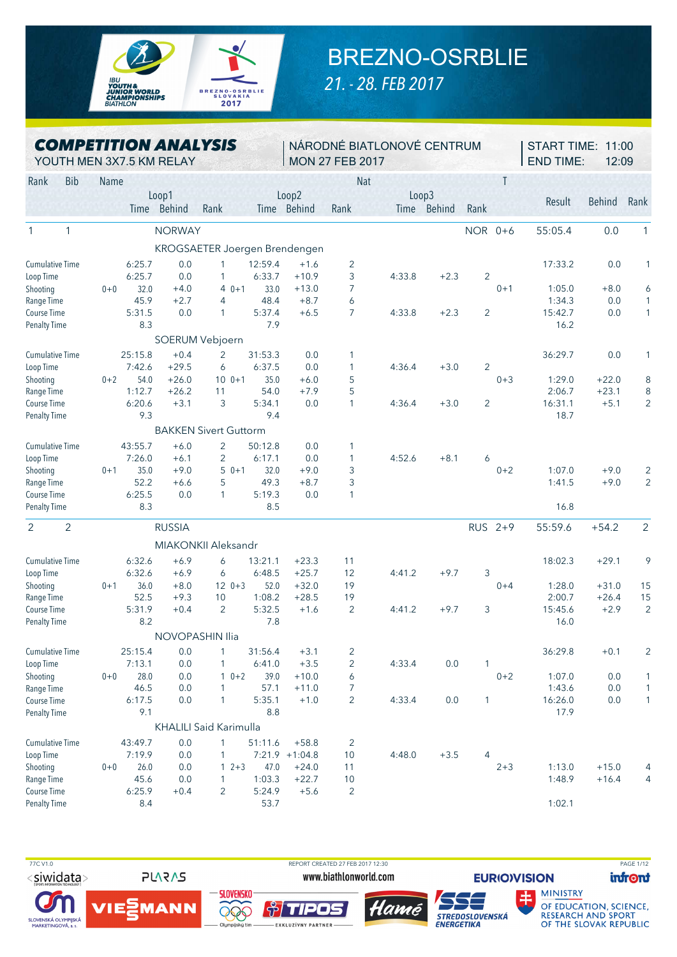

## BREZNO-OSRBLIE

*21. - 28. FEB 2017*

|  | <b>COMPETITION ANALYSIS</b> |  |
|--|-----------------------------|--|
|  |                             |  |

NÁRODNÉ BIATLONOVÉ CENTRUM MON 27 FEB 2017

START TIME: 11:00 END TIME: 12:09

|      |     | YOUTH MEN 3X7.5 KM RELAY | <b>MON 27 FEB 2017</b>                            |  |
|------|-----|--------------------------|---------------------------------------------------|--|
| Rank | Bib | <b>Name</b>              | Nai                                               |  |
|      |     | non'                     | $\cap$ <sup><math>\cap</math></sup><br>$\sqrt{2}$ |  |

|                              |         |         | Loop1         |                               |         | Loop2            |                |             | Loop3         |                |         |         |               |                |
|------------------------------|---------|---------|---------------|-------------------------------|---------|------------------|----------------|-------------|---------------|----------------|---------|---------|---------------|----------------|
|                              |         | Time    | <b>Behind</b> | Rank                          | Time    | Behind           | Rank           | <b>Time</b> | <b>Behind</b> | Rank           |         | Result  | <b>Behind</b> | Rank           |
| $\mathbf{1}$<br>$\mathbf{1}$ |         |         | <b>NORWAY</b> |                               |         |                  |                |             |               | NOR 0+6        |         | 55:05.4 | 0.0           | 1              |
|                              |         |         |               | KROGSAETER Joergen Brendengen |         |                  |                |             |               |                |         |         |               |                |
| <b>Cumulative Time</b>       |         | 6:25.7  | 0.0           | $\mathbf{1}$                  | 12:59.4 | $+1.6$           | $\overline{2}$ |             |               |                |         | 17:33.2 | 0.0           | 1              |
| Loop Time                    |         | 6:25.7  | 0.0           | 1                             | 6:33.7  | $+10.9$          | 3              | 4:33.8      | $+2.3$        | $\overline{2}$ |         |         |               |                |
| Shooting                     | $0+0$   | 32.0    | $+4.0$        | $40+1$                        | 33.0    | $+13.0$          | 7              |             |               |                | $0 + 1$ | 1:05.0  | $+8.0$        | 6              |
| Range Time                   |         | 45.9    | $+2.7$        | 4                             | 48.4    | $+8.7$           | 6              |             |               |                |         | 1:34.3  | 0.0           | 1              |
| Course Time                  |         | 5:31.5  | 0.0           | $\mathbf{1}$                  | 5:37.4  | $+6.5$           | $\overline{7}$ | 4:33.8      | $+2.3$        | $\overline{2}$ |         | 15:42.7 | 0.0           | $\mathbf{1}$   |
| <b>Penalty Time</b>          |         | 8.3     |               |                               | 7.9     |                  |                |             |               |                |         | 16.2    |               |                |
|                              |         |         |               | SOERUM Vebjoern               |         |                  |                |             |               |                |         |         |               |                |
| <b>Cumulative Time</b>       |         | 25:15.8 | $+0.4$        | $\overline{2}$                | 31:53.3 | 0.0              | 1              |             |               |                |         | 36:29.7 | 0.0           | 1              |
| Loop Time                    |         | 7:42.6  | $+29.5$       | 6                             | 6:37.5  | 0.0              | $\mathbf{1}$   | 4:36.4      | $+3.0$        | $\overline{2}$ |         |         |               |                |
| Shooting                     | $0 + 2$ | 54.0    | $+26.0$       | $100 + 1$                     | 35.0    | $+6.0$           | 5              |             |               |                | $0 + 3$ | 1:29.0  | $+22.0$       | 8              |
| Range Time                   |         | 1:12.7  | $+26.2$       | 11                            | 54.0    | $+7.9$           | 5              |             |               |                |         | 2:06.7  | $+23.1$       | 8              |
| Course Time                  |         | 6:20.6  | $+3.1$        | 3                             | 5:34.1  | 0.0              | 1              | 4:36.4      | $+3.0$        | $\overline{2}$ |         | 16:31.1 | $+5.1$        | $\overline{2}$ |
| <b>Penalty Time</b>          |         | 9.3     |               |                               | 9.4     |                  |                |             |               |                |         | 18.7    |               |                |
|                              |         |         |               | <b>BAKKEN Sivert Guttorm</b>  |         |                  |                |             |               |                |         |         |               |                |
| <b>Cumulative Time</b>       |         | 43:55.7 | $+6.0$        | 2                             | 50:12.8 | 0.0              | 1              |             |               |                |         |         |               |                |
| Loop Time                    |         | 7:26.0  | $+6.1$        | $\overline{2}$                | 6:17.1  | 0.0              | 1              | 4:52.6      | $+8.1$        | 6              |         |         |               |                |
| Shooting                     | $0 + 1$ | 35.0    | $+9.0$        | $50+1$                        | 32.0    | $+9.0$           | 3              |             |               |                | $0 + 2$ | 1:07.0  | $+9.0$        | $\overline{2}$ |
| Range Time                   |         | 52.2    | $+6.6$        | 5                             | 49.3    | $+8.7$           | 3              |             |               |                |         | 1:41.5  | $+9.0$        | $\overline{2}$ |
| Course Time                  |         | 6:25.5  | 0.0           | $\mathbf{1}$                  | 5:19.3  | 0.0              | 1              |             |               |                |         |         |               |                |
| <b>Penalty Time</b>          |         | 8.3     |               |                               | 8.5     |                  |                |             |               |                |         | 16.8    |               |                |
| $\overline{2}$<br>2          |         |         | <b>RUSSIA</b> |                               |         |                  |                |             |               | RUS 2+9        |         | 55:59.6 | $+54.2$       | $\overline{2}$ |
|                              |         |         |               | MIAKONKII Aleksandr           |         |                  |                |             |               |                |         |         |               |                |
| <b>Cumulative Time</b>       |         | 6:32.6  | $+6.9$        | 6                             | 13:21.1 | $+23.3$          | 11             |             |               |                |         | 18:02.3 | $+29.1$       | 9              |
| Loop Time                    |         | 6:32.6  | $+6.9$        | 6                             | 6:48.5  | $+25.7$          | 12             | 4:41.2      | $+9.7$        | 3              |         |         |               |                |
| Shooting                     | $0 + 1$ | 36.0    | $+8.0$        | $120+3$                       | 52.0    | $+32.0$          | 19             |             |               |                | $0 + 4$ | 1:28.0  | $+31.0$       | 15             |
| Range Time                   |         | 52.5    | $+9.3$        | 10                            | 1:08.2  | $+28.5$          | 19             |             |               |                |         | 2:00.7  | $+26.4$       | 15             |
| Course Time                  |         | 5:31.9  | $+0.4$        | 2                             | 5:32.5  | $+1.6$           | $\overline{2}$ | 4:41.2      | $+9.7$        | 3              |         | 15:45.6 | $+2.9$        | $\overline{2}$ |
| <b>Penalty Time</b>          |         | 8.2     |               |                               | 7.8     |                  |                |             |               |                |         | 16.0    |               |                |
|                              |         |         |               | NOVOPASHIN Ilia               |         |                  |                |             |               |                |         |         |               |                |
| <b>Cumulative Time</b>       |         | 25:15.4 | 0.0           | 1                             | 31:56.4 | $+3.1$           | 2              |             |               |                |         | 36:29.8 | $+0.1$        | $\overline{2}$ |
| Loop Time                    |         | 7:13.1  | 0.0           | 1                             | 6:41.0  | $+3.5$           | $\overline{2}$ | 4:33.4      | 0.0           | 1              |         |         |               |                |
| Shooting                     | $0 + 0$ | 28.0    | 0.0           | $10+2$                        | 39.0    | $+10.0$          | 6              |             |               |                | $0 + 2$ | 1:07.0  | 0.0           | $\mathbf{1}$   |
| Range Time                   |         | 46.5    | 0.0           | 1                             | 57.1    | $+11.0$          | $\overline{7}$ |             |               |                |         | 1:43.6  | 0.0           | 1              |
| Course Time                  |         | 6:17.5  | 0.0           | 1                             | 5:35.1  | $+1.0$           | $\overline{2}$ | 4:33.4      | 0.0           | 1              |         | 16:26.0 | 0.0           | $\mathbf{1}$   |
| <b>Penalty Time</b>          |         | 9.1     |               |                               | 8.8     |                  |                |             |               |                |         | 17.9    |               |                |
|                              |         |         |               | <b>KHALILI Said Karimulla</b> |         |                  |                |             |               |                |         |         |               |                |
| <b>Cumulative Time</b>       |         | 43:49.7 | 0.0           | $\mathbf{1}$                  | 51:11.6 | $+58.8$          | 2              |             |               |                |         |         |               |                |
| Loop Time                    |         | 7:19.9  | 0.0           | 1                             |         | $7:21.9$ +1:04.8 | 10             | 4:48.0      | $+3.5$        | 4              |         |         |               |                |
| Shooting                     | $0+0$   | 26.0    | 0.0           | $12+3$                        | 47.0    | $+24.0$          | 11             |             |               |                | $2 + 3$ | 1:13.0  | $+15.0$       | 4              |
| Range Time                   |         | 45.6    | 0.0           | 1                             | 1:03.3  | $+22.7$          | 10             |             |               |                |         | 1:48.9  | $+16.4$       | 4              |
| Course Time                  |         | 6:25.9  | $+0.4$        | $\overline{2}$                | 5:24.9  | $+5.6$           | $\overline{2}$ |             |               |                |         |         |               |                |
| <b>Penalty Time</b>          |         | 8.4     |               |                               | 53.7    |                  |                |             |               |                |         | 1:02.1  |               |                |



SLOVENSKÁ OLYMPIJSKÁ<br>MARKETINGOVÁ, a. s.

**PLARAS** 



*†TIPOS* 

**EXKLUZÍVNY PARTNER** 





**infront** 

**MINISTRY** OF EDUCATION, SCIENCE,<br>RESEARCH AND SPORT<br>OF THE SLOVAK REPUBLIC

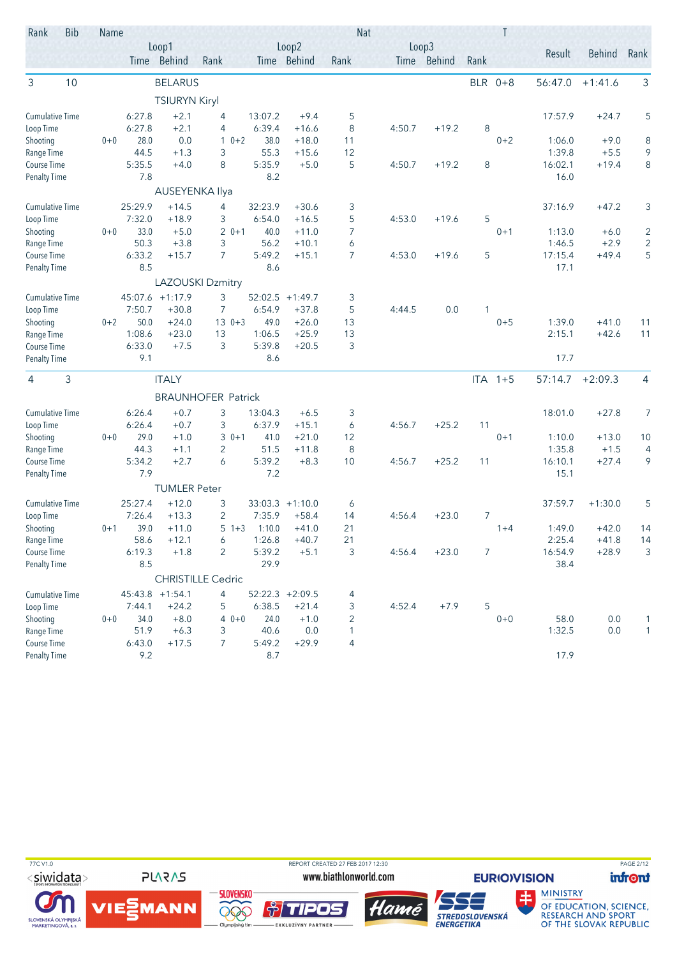| Rank                      | <b>Bib</b> | Name    |                |                      |                           |                |                    |                                | <b>Nat</b> |             |            | Τ         |         |                  |                                  |
|---------------------------|------------|---------|----------------|----------------------|---------------------------|----------------|--------------------|--------------------------------|------------|-------------|------------|-----------|---------|------------------|----------------------------------|
|                           |            |         |                | Loop1                |                           |                | Loop2              |                                |            | Loop3       |            |           | Result  | <b>Behind</b>    | Rank                             |
|                           |            |         |                | Time Behind          | Rank                      |                | Time Behind        | Rank                           |            | Time Behind | Rank       |           |         |                  |                                  |
| 3                         | 10         |         |                | <b>BELARUS</b>       |                           |                |                    |                                |            |             | <b>BLR</b> | $0 + 8$   | 56:47.0 | $+1:41.6$        | 3                                |
|                           |            |         |                | <b>TSIURYN Kiryl</b> |                           |                |                    |                                |            |             |            |           |         |                  |                                  |
| <b>Cumulative Time</b>    |            |         | 6:27.8         | $+2.1$               | 4                         | 13:07.2        | $+9.4$             | 5                              |            |             |            |           | 17:57.9 | $+24.7$          | 5                                |
| Loop Time                 |            |         | 6:27.8         | $+2.1$               | 4                         | 6:39.4         | $+16.6$            | 8                              | 4:50.7     | $+19.2$     | 8          |           |         |                  |                                  |
| Shooting                  |            | $0 + 0$ | 28.0           | 0.0                  | $10+2$                    | 38.0           | $+18.0$            | 11                             |            |             |            | $0 + 2$   | 1:06.0  | $+9.0$           | 8                                |
| Range Time                |            |         | 44.5           | $+1.3$               | 3                         | 55.3           | $+15.6$            | 12                             |            |             |            |           | 1:39.8  | $+5.5$           | 9                                |
| Course Time               |            |         | 5:35.5         | $+4.0$               | 8                         | 5:35.9         | $+5.0$             | 5                              | 4:50.7     | $+19.2$     | 8          |           | 16:02.1 | $+19.4$          | 8                                |
| <b>Penalty Time</b>       |            |         | 7.8            |                      |                           | 8.2            |                    |                                |            |             |            |           | 16.0    |                  |                                  |
|                           |            |         |                | AUSEYENKA Ilya       |                           |                |                    |                                |            |             |            |           |         |                  |                                  |
| <b>Cumulative Time</b>    |            |         | 25:29.9        | $+14.5$              | 4                         | 32:23.9        | $+30.6$            | 3                              |            |             |            |           | 37:16.9 | $+47.2$          | 3                                |
| Loop Time                 |            |         | 7:32.0<br>33.0 | $+18.9$<br>$+5.0$    | 3<br>$20+1$               | 6:54.0<br>40.0 | $+16.5$<br>$+11.0$ | 5                              | 4:53.0     | $+19.6$     | 5          | $0 + 1$   | 1:13.0  |                  |                                  |
| Shooting<br>Range Time    |            | $0 + 0$ | 50.3           | $+3.8$               | 3                         | 56.2           | $+10.1$            | 7<br>6                         |            |             |            |           | 1:46.5  | $+6.0$<br>$+2.9$ | $\overline{c}$<br>$\overline{c}$ |
| Course Time               |            |         | 6:33.2         | $+15.7$              | $\overline{7}$            | 5:49.2         | $+15.1$            | 7                              | 4:53.0     | $+19.6$     | 5          |           | 17:15.4 | $+49.4$          | 5                                |
| <b>Penalty Time</b>       |            |         | 8.5            |                      |                           | 8.6            |                    |                                |            |             |            |           | 17.1    |                  |                                  |
|                           |            |         |                |                      | <b>LAZOUSKI Dzmitry</b>   |                |                    |                                |            |             |            |           |         |                  |                                  |
| <b>Cumulative Time</b>    |            |         |                | 45:07.6 +1:17.9      | 3                         | 52:02.5        | $+1:49.7$          | 3                              |            |             |            |           |         |                  |                                  |
| Loop Time                 |            |         | 7:50.7         | $+30.8$              | 7                         | 6:54.9         | $+37.8$            | 5                              | 4:44.5     | 0.0         | 1          |           |         |                  |                                  |
| Shooting                  |            | $0 + 2$ | 50.0           | $+24.0$              | $130+3$                   | 49.0           | $+26.0$            | 13                             |            |             |            | $0 + 5$   | 1:39.0  | $+41.0$          | 11                               |
| Range Time                |            |         | 1:08.6         | $+23.0$              | 13                        | 1:06.5         | $+25.9$            | 13                             |            |             |            |           | 2:15.1  | $+42.6$          | 11                               |
| Course Time               |            |         | 6:33.0         | $+7.5$               | 3                         | 5:39.8         | $+20.5$            | 3                              |            |             |            |           |         |                  |                                  |
| <b>Penalty Time</b>       |            |         | 9.1            |                      |                           | 8.6            |                    |                                |            |             |            |           | 17.7    |                  |                                  |
| 3<br>4                    |            |         |                | <b>ITALY</b>         |                           |                |                    |                                |            |             |            | $ITA$ 1+5 | 57:14.7 | $+2:09.3$        | $\overline{4}$                   |
|                           |            |         |                |                      | <b>BRAUNHOFER Patrick</b> |                |                    |                                |            |             |            |           |         |                  |                                  |
| <b>Cumulative Time</b>    |            |         | 6:26.4         | $+0.7$               | 3                         | 13:04.3        | $+6.5$             | 3                              |            |             |            |           | 18:01.0 | $+27.8$          | 7                                |
| Loop Time                 |            |         | 6:26.4         | $+0.7$               | 3                         | 6:37.9         | $+15.1$            | 6                              | 4:56.7     | $+25.2$     | 11         |           |         |                  |                                  |
| Shooting                  |            | $0 + 0$ | 29.0           | $+1.0$               | $30+1$                    | 41.0           | $+21.0$            | 12                             |            |             |            | $0 + 1$   | 1:10.0  | $+13.0$          | 10                               |
| Range Time                |            |         | 44.3           | $+1.1$               | 2                         | 51.5           | $+11.8$            | 8                              |            |             |            |           | 1:35.8  | $+1.5$           | 4                                |
| Course Time               |            |         | 5:34.2         | $+2.7$               | 6                         | 5:39.2         | $+8.3$             | 10                             | 4:56.7     | $+25.2$     | 11         |           | 16:10.1 | $+27.4$          | 9                                |
| <b>Penalty Time</b>       |            |         | 7.9            |                      |                           | 7.2            |                    |                                |            |             |            |           | 15.1    |                  |                                  |
|                           |            |         |                | <b>TUMLER Peter</b>  |                           |                |                    |                                |            |             |            |           |         |                  |                                  |
| <b>Cumulative Time</b>    |            |         | 25:27.4        | $+12.0$              | 3                         |                | $33:03.3 +1:10.0$  | 6                              |            |             |            |           | 37:59.7 | $+1:30.0$        | 5                                |
| Loop Time                 |            |         | 7:26.4         | $+13.3$              | $\overline{c}$            | 7:35.9         | $+58.4$            | 14                             | 4:56.4     | $+23.0$     | 7          |           |         |                  |                                  |
| Shooting                  |            | $0 + 1$ | 39.0           | $+11.0$              | $5 + 3$                   | 1:10.0         | $+41.0$            | 21                             |            |             |            | $1 + 4$   | 1:49.0  | $+42.0$          | 14                               |
| Range Time                |            |         | 58.6           | $+12.1$              | 6                         | 1:26.8         | $+40.7$            | 21                             |            |             |            |           | 2:25.4  | $+41.8$          | 14                               |
| Course Time               |            |         | 6:19.3         | $+1.8$               | $\overline{2}$            | 5:39.2         | $+5.1$             | 3                              | 4:56.4     | $+23.0$     | 7          |           | 16:54.9 | $+28.9$          | 3                                |
| <b>Penalty Time</b>       |            |         | 8.5            |                      |                           | 29.9           |                    |                                |            |             |            |           | 38.4    |                  |                                  |
|                           |            |         |                |                      | <b>CHRISTILLE Cedric</b>  |                |                    |                                |            |             |            |           |         |                  |                                  |
| <b>Cumulative Time</b>    |            |         |                | 45:43.8 +1:54.1      | 4                         |                | $52:22.3 +2:09.5$  | 4                              |            |             |            |           |         |                  |                                  |
| Loop Time                 |            |         | 7:44.1         | $+24.2$              | 5                         | 6:38.5         | $+21.4$            | 3                              | 4:52.4     | $+7.9$      | 5          |           |         |                  |                                  |
| Shooting                  |            | $0 + 0$ | 34.0           | $+8.0$               | $40+0$                    | 24.0           | $+1.0$             | $\overline{2}$                 |            |             |            | $0 + 0$   | 58.0    | 0.0              | 1                                |
| Range Time<br>Course Time |            |         | 51.9<br>6:43.0 | $+6.3$<br>$+17.5$    | 3<br>7                    | 40.6<br>5:49.2 | 0.0<br>$+29.9$     | $\mathbf{1}$<br>$\overline{4}$ |            |             |            |           | 1:32.5  | 0.0              | $\mathbf{1}$                     |
| <b>Penalty Time</b>       |            |         | 9.2            |                      |                           | 8.7            |                    |                                |            |             |            |           | 17.9    |                  |                                  |
|                           |            |         |                |                      |                           |                |                    |                                |            |             |            |           |         |                  |                                  |

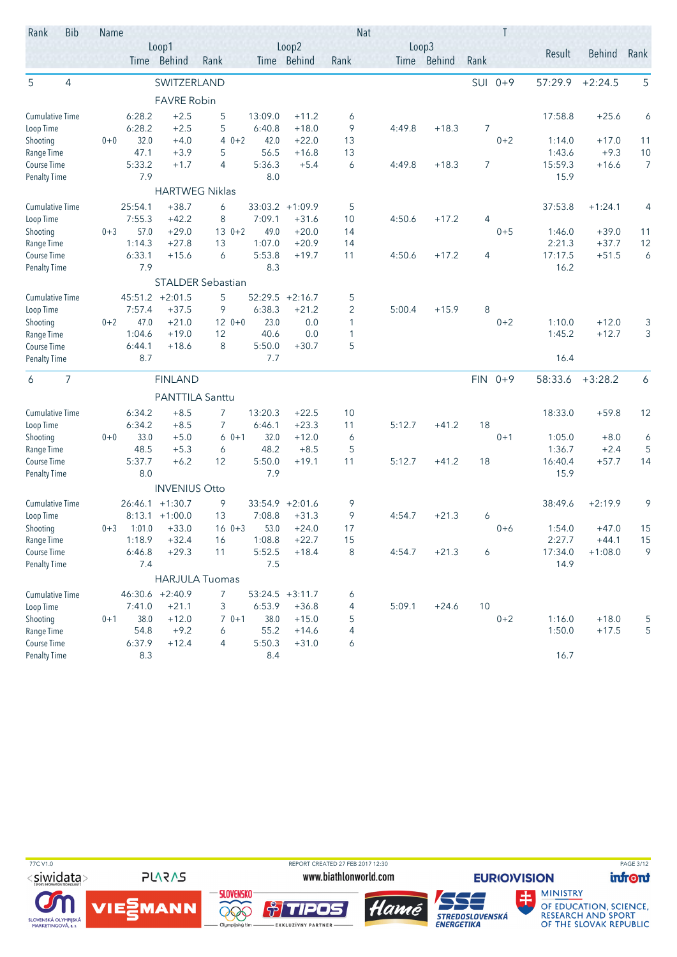| Rank                                | <b>Bib</b>     | Name    |                  |                       |                          |                   |                    | <b>Nat</b>          |        |             |      | Τ         |                   |                    |         |
|-------------------------------------|----------------|---------|------------------|-----------------------|--------------------------|-------------------|--------------------|---------------------|--------|-------------|------|-----------|-------------------|--------------------|---------|
|                                     |                |         |                  | Loop1                 |                          |                   | Loop2              |                     |        | Loop3       |      |           | Result            | <b>Behind</b>      | Rank    |
|                                     |                |         |                  | Time Behind           | Rank                     |                   | Time Behind        | Rank                |        | Time Behind | Rank |           |                   |                    |         |
| 5                                   | $\overline{4}$ |         |                  | SWITZERLAND           |                          |                   |                    |                     |        |             | SUI  | $0 + 9$   | 57:29.9           | $+2:24.5$          | 5       |
|                                     |                |         |                  | <b>FAVRE Robin</b>    |                          |                   |                    |                     |        |             |      |           |                   |                    |         |
| <b>Cumulative Time</b>              |                |         | 6:28.2           | $+2.5$                | 5                        | 13:09.0           | $+11.2$            | 6                   |        |             |      |           | 17:58.8           | $+25.6$            | 6       |
| Loop Time                           |                |         | 6:28.2           | $+2.5$                | 5                        | 6:40.8            | $+18.0$            | 9                   | 4:49.8 | $+18.3$     | 7    |           |                   |                    |         |
| Shooting                            |                | $0 + 0$ | 32.0             | $+4.0$                | $40+2$                   | 42.0              | $+22.0$            | 13                  |        |             |      | $0 + 2$   | 1:14.0            | $+17.0$            | 11      |
| Range Time                          |                |         | 47.1             | $+3.9$                | 5                        | 56.5              | $+16.8$            | 13                  |        |             |      |           | 1:43.6            | $+9.3$             | 10      |
| Course Time                         |                |         | 5:33.2           | $+1.7$                | $\overline{4}$           | 5:36.3            | $+5.4$             | 6                   | 4:49.8 | $+18.3$     | 7    |           | 15:59.3           | $+16.6$            | 7       |
| <b>Penalty Time</b>                 |                |         | 7.9              |                       |                          | 8.0               |                    |                     |        |             |      |           | 15.9              |                    |         |
|                                     |                |         |                  | <b>HARTWEG Niklas</b> |                          |                   |                    |                     |        |             |      |           |                   |                    |         |
| Cumulative Time                     |                |         | 25:54.1          | $+38.7$               | 6                        | 33:03.2           | $+1:09.9$          | 5                   |        |             |      |           | 37:53.8           | $+1:24.1$          | 4       |
| Loop Time                           |                |         | 7:55.3           | $+42.2$               | 8                        | 7:09.1            | $+31.6$            | 10                  | 4:50.6 | $+17.2$     | 4    |           |                   |                    |         |
| Shooting                            |                | $0 + 3$ | 57.0             | $+29.0$               | $130+2$                  | 49.0              | $+20.0$            | 14                  |        |             |      | $0 + 5$   | 1:46.0            | $+39.0$            | 11      |
| Range Time<br>Course Time           |                |         | 1:14.3<br>6:33.1 | $+27.8$<br>$+15.6$    | 13<br>6                  | 1:07.0<br>5:53.8  | $+20.9$<br>$+19.7$ | 14<br>11            | 4:50.6 | $+17.2$     | 4    |           | 2:21.3<br>17:17.5 | $+37.7$<br>$+51.5$ | 12<br>6 |
| <b>Penalty Time</b>                 |                |         | 7.9              |                       |                          | 8.3               |                    |                     |        |             |      |           | 16.2              |                    |         |
|                                     |                |         |                  |                       | <b>STALDER Sebastian</b> |                   |                    |                     |        |             |      |           |                   |                    |         |
|                                     |                |         |                  | $45:51.2 +2:01.5$     |                          |                   | $52:29.5 +2:16.7$  |                     |        |             |      |           |                   |                    |         |
| <b>Cumulative Time</b><br>Loop Time |                |         | 7:57.4           | $+37.5$               | 5<br>9                   | 6:38.3            | $+21.2$            | 5<br>$\overline{2}$ | 5:00.4 | $+15.9$     | 8    |           |                   |                    |         |
| Shooting                            |                | $0 + 2$ | 47.0             | $+21.0$               | $120+0$                  | 23.0              | 0.0                | $\mathbf{1}$        |        |             |      | $0 + 2$   | 1:10.0            | $+12.0$            | 3       |
| Range Time                          |                |         | 1:04.6           | $+19.0$               | 12                       | 40.6              | 0.0                | 1                   |        |             |      |           | 1:45.2            | $+12.7$            | 3       |
| Course Time                         |                |         | 6:44.1           | $+18.6$               | 8                        | 5:50.0            | $+30.7$            | 5                   |        |             |      |           |                   |                    |         |
| <b>Penalty Time</b>                 |                |         | 8.7              |                       |                          | 7.7               |                    |                     |        |             |      |           | 16.4              |                    |         |
| 6                                   | 7              |         |                  | <b>FINLAND</b>        |                          |                   |                    |                     |        |             |      | $FIN 0+9$ | 58:33.6           | $+3:28.2$          | 6       |
|                                     |                |         |                  | PANTTILA Santtu       |                          |                   |                    |                     |        |             |      |           |                   |                    |         |
|                                     |                |         |                  |                       |                          |                   |                    |                     |        |             |      |           |                   | $+59.8$            |         |
| <b>Cumulative Time</b><br>Loop Time |                |         | 6:34.2<br>6:34.2 | $+8.5$<br>$+8.5$      | 7<br>7                   | 13:20.3<br>6:46.1 | $+22.5$<br>$+23.3$ | 10<br>11            | 5:12.7 | $+41.2$     | 18   |           | 18:33.0           |                    | 12      |
| Shooting                            |                | $0 + 0$ | 33.0             | $+5.0$                | $60+1$                   | 32.0              | $+12.0$            | 6                   |        |             |      | $0 + 1$   | 1:05.0            | $+8.0$             | 6       |
| Range Time                          |                |         | 48.5             | $+5.3$                | 6                        | 48.2              | $+8.5$             | 5                   |        |             |      |           | 1:36.7            | $+2.4$             | 5       |
| Course Time                         |                |         | 5:37.7           | $+6.2$                | 12                       | 5:50.0            | $+19.1$            | 11                  | 5:12.7 | $+41.2$     | 18   |           | 16:40.4           | $+57.7$            | 14      |
| <b>Penalty Time</b>                 |                |         | 8.0              |                       |                          | 7.9               |                    |                     |        |             |      |           | 15.9              |                    |         |
|                                     |                |         |                  | <b>INVENIUS Otto</b>  |                          |                   |                    |                     |        |             |      |           |                   |                    |         |
| <b>Cumulative Time</b>              |                |         | 26:46.1          | $+1:30.7$             | 9                        |                   | $33:54.9 +2:01.6$  | 9                   |        |             |      |           | 38:49.6           | $+2:19.9$          | 9       |
| Loop Time                           |                |         | 8:13.1           | $+1:00.0$             | 13                       | 7:08.8            | $+31.3$            | 9                   | 4:54.7 | $+21.3$     | 6    |           |                   |                    |         |
| Shooting                            |                | $0 + 3$ | 1:01.0           | $+33.0$               | $160+3$                  | 53.0              | $+24.0$            | 17                  |        |             |      | $0 + 6$   | 1:54.0            | $+47.0$            | 15      |
| Range Time                          |                |         | 1:18.9           | $+32.4$               | 16                       | 1:08.8            | $+22.7$            | 15                  |        |             |      |           | 2:27.7            | $+44.1$            | 15      |
| Course Time                         |                |         | 6:46.8           | $+29.3$               | 11                       | 5:52.5            | $+18.4$            | 8                   | 4:54.7 | $+21.3$     | 6    |           | 17:34.0           | $+1:08.0$          | 9       |
| <b>Penalty Time</b>                 |                |         | 7.4              |                       |                          | 7.5               |                    |                     |        |             |      |           | 14.9              |                    |         |
|                                     |                |         |                  |                       | <b>HARJULA Tuomas</b>    |                   |                    |                     |        |             |      |           |                   |                    |         |
| <b>Cumulative Time</b>              |                |         |                  | 46:30.6 +2:40.9       | $\overline{7}$           |                   | $53:24.5 +3:11.7$  | 6                   |        |             |      |           |                   |                    |         |
| Loop Time                           |                |         | 7:41.0           | $+21.1$               | 3                        | 6:53.9            | $+36.8$            | 4                   | 5:09.1 | $+24.6$     | 10   |           |                   |                    |         |
| Shooting                            |                | $0 + 1$ | 38.0             | $+12.0$               | $70+1$                   | 38.0              | $+15.0$            | 5                   |        |             |      | $0 + 2$   | 1:16.0            | $+18.0$            | 5       |
| Range Time                          |                |         | 54.8             | $+9.2$                | 6                        | 55.2              | $+14.6$            | 4                   |        |             |      |           | 1:50.0            | $+17.5$            | 5       |
| Course Time                         |                |         | 6:37.9           | $+12.4$               | 4                        | 5:50.3            | $+31.0$            | 6                   |        |             |      |           |                   |                    |         |
| <b>Penalty Time</b>                 |                |         | 8.3              |                       |                          | 8.4               |                    |                     |        |             |      |           | 16.7              |                    |         |

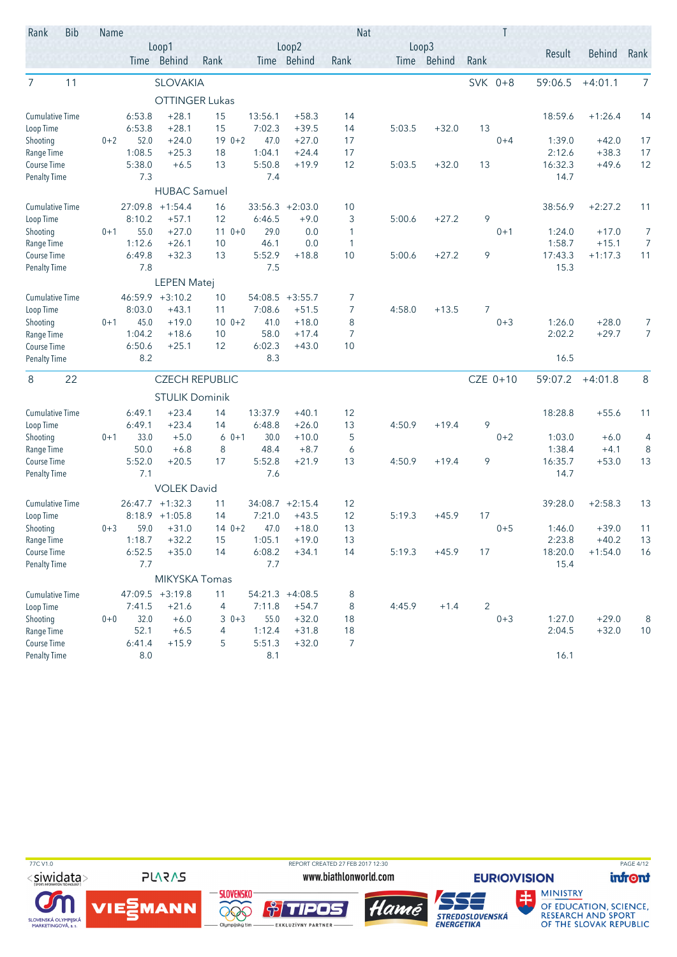| Rank                               | <b>Bib</b> | Name    |                  |                       |                       |                |                    | <b>Nat</b>          |        |             |         | T        |                   |                      |                     |
|------------------------------------|------------|---------|------------------|-----------------------|-----------------------|----------------|--------------------|---------------------|--------|-------------|---------|----------|-------------------|----------------------|---------------------|
|                                    |            |         |                  | Loop1                 |                       |                | Loop2              |                     | Loop3  |             |         |          | Result            | <b>Behind</b>        | Rank                |
|                                    |            |         |                  | Time Behind           | Rank                  |                | Time Behind        | Rank                |        | Time Behind | Rank    |          |                   |                      |                     |
| 7                                  | 11         |         |                  | <b>SLOVAKIA</b>       |                       |                |                    |                     |        |             | SVK 0+8 |          | 59:06.5           | $+4:01.1$            | 7                   |
|                                    |            |         |                  | <b>OTTINGER Lukas</b> |                       |                |                    |                     |        |             |         |          |                   |                      |                     |
| <b>Cumulative Time</b>             |            |         | 6:53.8           | $+28.1$               | 15                    | 13:56.1        | $+58.3$            | 14                  |        |             |         |          | 18:59.6           | $+1:26.4$            | 14                  |
| Loop Time                          |            |         | 6:53.8           | $+28.1$               | 15                    | 7:02.3         | $+39.5$            | 14                  | 5:03.5 | $+32.0$     | 13      |          |                   |                      |                     |
| Shooting                           |            | $0 + 2$ | 52.0             | $+24.0$               | $190+2$               | 47.0           | $+27.0$            | 17                  |        |             |         | $0 + 4$  | 1:39.0            | $+42.0$              | 17                  |
| Range Time                         |            |         | 1:08.5           | $+25.3$               | 18                    | 1:04.1         | $+24.4$            | 17                  |        |             |         |          | 2:12.6            | $+38.3$              | 17                  |
| Course Time                        |            |         | 5:38.0           | $+6.5$                | 13                    | 5:50.8         | $+19.9$            | 12                  | 5:03.5 | $+32.0$     | 13      |          | 16:32.3           | $+49.6$              | 12                  |
| <b>Penalty Time</b>                |            |         | 7.3              |                       |                       | 7.4            |                    |                     |        |             |         |          | 14.7              |                      |                     |
|                                    |            |         |                  | <b>HUBAC Samuel</b>   |                       |                |                    |                     |        |             |         |          |                   |                      |                     |
| <b>Cumulative Time</b>             |            |         | 27:09.8          | $+1:54.4$             | 16                    | 33:56.3        | $+2:03.0$          | 10                  |        |             |         |          | 38:56.9           | $+2:27.2$            | 11                  |
| Loop Time                          |            |         | 8:10.2           | $+57.1$               | 12                    | 6:46.5         | $+9.0$             | 3                   | 5:00.6 | $+27.2$     | 9       |          |                   |                      |                     |
| Shooting                           |            | $0 + 1$ | 55.0             | $+27.0$               | $110+0$               | 29.0           | 0.0                | 1                   |        |             |         | $0 + 1$  | 1:24.0            | $+17.0$              | 7                   |
| Range Time                         |            |         | 1:12.6<br>6:49.8 | $+26.1$<br>$+32.3$    | 10                    | 46.1<br>5:52.9 | 0.0                | $\mathbf{1}$<br>10  |        | $+27.2$     | 9       |          | 1:58.7<br>17:43.3 | $+15.1$<br>$+1:17.3$ | 7<br>11             |
| Course Time<br><b>Penalty Time</b> |            |         | 7.8              |                       | 13                    | 7.5            | $+18.8$            |                     | 5:00.6 |             |         |          | 15.3              |                      |                     |
|                                    |            |         |                  |                       |                       |                |                    |                     |        |             |         |          |                   |                      |                     |
|                                    |            |         |                  | <b>LEPEN Matej</b>    |                       |                |                    |                     |        |             |         |          |                   |                      |                     |
| <b>Cumulative Time</b>             |            |         | 46:59.9          | $+3:10.2$             | 10                    | 54:08.5        | $+3:55.7$          | 7                   |        |             |         |          |                   |                      |                     |
| Loop Time                          |            |         | 8:03.0           | $+43.1$               | 11                    | 7:08.6         | $+51.5$            | 7                   | 4:58.0 | $+13.5$     | 7       |          |                   |                      |                     |
| Shooting<br>Range Time             |            | $0 + 1$ | 45.0<br>1:04.2   | $+19.0$<br>$+18.6$    | $100+2$<br>10         | 41.0<br>58.0   | $+18.0$<br>$+17.4$ | 8<br>$\overline{7}$ |        |             |         | $0 + 3$  | 1:26.0<br>2:02.2  | $+28.0$<br>$+29.7$   | 7<br>$\overline{7}$ |
| Course Time                        |            |         | 6:50.6           | $+25.1$               | 12                    | 6:02.3         | $+43.0$            | 10                  |        |             |         |          |                   |                      |                     |
| <b>Penalty Time</b>                |            |         | 8.2              |                       |                       | 8.3            |                    |                     |        |             |         |          | 16.5              |                      |                     |
|                                    |            |         |                  |                       |                       |                |                    |                     |        |             |         |          |                   |                      |                     |
| 8                                  | 22         |         |                  |                       | <b>CZECH REPUBLIC</b> |                |                    |                     |        |             |         | CZE 0+10 | 59:07.2           | $+4:01.8$            | $\,8\,$             |
|                                    |            |         |                  | <b>STULIK Dominik</b> |                       |                |                    |                     |        |             |         |          |                   |                      |                     |
| <b>Cumulative Time</b>             |            |         | 6:49.1           | $+23.4$               | 14                    | 13:37.9        | $+40.1$            | 12                  |        |             |         |          | 18:28.8           | $+55.6$              | 11                  |
| Loop Time                          |            |         | 6:49.1           | $+23.4$               | 14                    | 6:48.8         | $+26.0$            | 13                  | 4:50.9 | $+19.4$     | 9       |          |                   |                      |                     |
| Shooting                           |            | $0 + 1$ | 33.0             | $+5.0$                | $60+1$                | 30.0           | $+10.0$            | 5                   |        |             |         | $0 + 2$  | 1:03.0            | $+6.0$               | 4                   |
| Range Time                         |            |         | 50.0             | $+6.8$                | 8                     | 48.4           | $+8.7$             | 6                   |        |             |         |          | 1:38.4            | $+4.1$               | 8                   |
| Course Time                        |            |         | 5:52.0           | $+20.5$               | 17                    | 5:52.8         | $+21.9$            | 13                  | 4:50.9 | $+19.4$     | 9       |          | 16:35.7           | $+53.0$              | 13                  |
| <b>Penalty Time</b>                |            |         | 7.1              |                       |                       | 7.6            |                    |                     |        |             |         |          | 14.7              |                      |                     |
|                                    |            |         |                  | <b>VOLEK David</b>    |                       |                |                    |                     |        |             |         |          |                   |                      |                     |
| <b>Cumulative Time</b>             |            |         |                  | $26:47.7 + 1:32.3$    | 11                    |                | $34:08.7 +2:15.4$  | 12                  |        |             |         |          | 39:28.0           | $+2:58.3$            | 13                  |
| Loop Time                          |            |         | 8:18.9           | $+1:05.8$             | 14                    | 7:21.0         | $+43.5$            | 12                  | 5:19.3 | $+45.9$     | 17      |          |                   |                      |                     |
| Shooting<br>Range Time             |            | $0 + 3$ | 59.0<br>1:18.7   | $+31.0$<br>$+32.2$    | $140+2$<br>15         | 47.0<br>1:05.1 | $+18.0$<br>$+19.0$ | 13<br>13            |        |             |         | $0 + 5$  | 1:46.0<br>2:23.8  | $+39.0$<br>$+40.2$   | 11<br>13            |
| Course Time                        |            |         | 6:52.5           | $+35.0$               | 14                    | 6:08.2         | $+34.1$            | 14                  | 5:19.3 | $+45.9$     | 17      |          | 18:20.0           | $+1:54.0$            | 16                  |
| <b>Penalty Time</b>                |            |         | 7.7              |                       |                       | 7.7            |                    |                     |        |             |         |          | 15.4              |                      |                     |
|                                    |            |         |                  | MIKYSKA Tomas         |                       |                |                    |                     |        |             |         |          |                   |                      |                     |
| <b>Cumulative Time</b>             |            |         |                  | $47:09.5 +3:19.8$     | 11                    |                | $54:21.3 +4:08.5$  | 8                   |        |             |         |          |                   |                      |                     |
| Loop Time                          |            |         | 7:41.5           | $+21.6$               | 4                     | 7:11.8         | $+54.7$            | 8                   | 4:45.9 | $+1.4$      | 2       |          |                   |                      |                     |
| Shooting                           |            | $0+0$   | 32.0             | $+6.0$                | $30+3$                | 55.0           | $+32.0$            | 18                  |        |             |         | $0 + 3$  | 1:27.0            | $+29.0$              | 8                   |
| Range Time                         |            |         | 52.1             | $+6.5$                | 4                     | 1:12.4         | $+31.8$            | 18                  |        |             |         |          | 2:04.5            | $+32.0$              | 10                  |
| Course Time                        |            |         | 6:41.4           | $+15.9$               | 5                     | 5:51.3         | $+32.0$            | 7                   |        |             |         |          |                   |                      |                     |
| <b>Penalty Time</b>                |            |         | 8.0              |                       |                       | 8.1            |                    |                     |        |             |         |          | 16.1              |                      |                     |

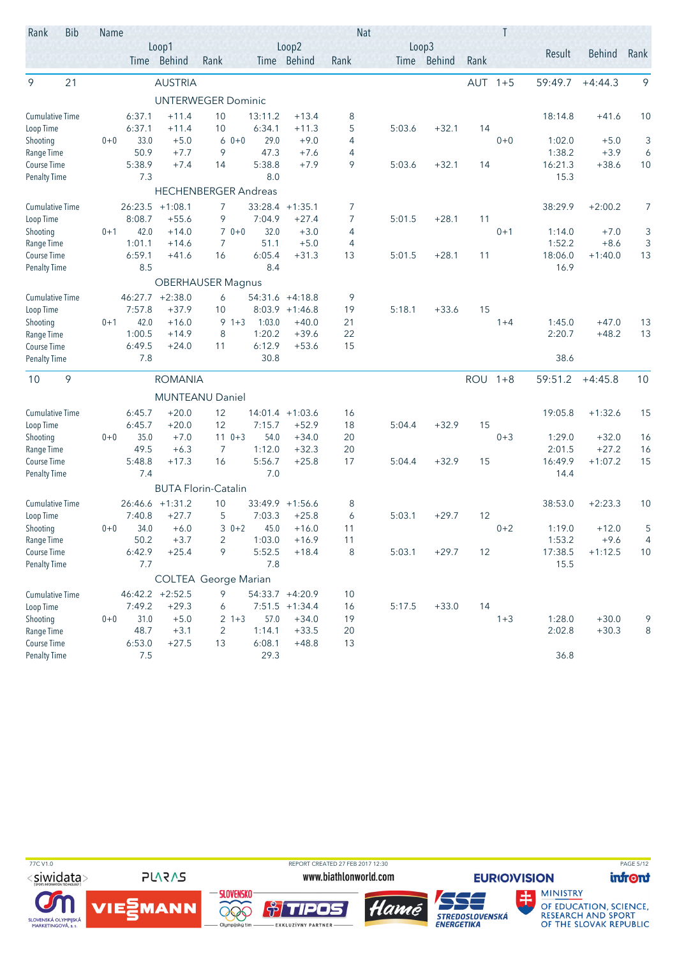| Rank                   | <b>Bib</b> | Name    |         |                   |                             |         |                   | <b>Nat</b>     |        |             |            |         |         |               |      |
|------------------------|------------|---------|---------|-------------------|-----------------------------|---------|-------------------|----------------|--------|-------------|------------|---------|---------|---------------|------|
|                        |            |         |         | Loop1             |                             |         | Loop2             |                | Loop3  |             |            |         | Result  | <b>Behind</b> | Rank |
|                        |            |         |         | Time Behind       | Rank                        |         | Time Behind       | Rank           |        | Time Behind | Rank       |         |         |               |      |
| 9                      | 21         |         |         | <b>AUSTRIA</b>    |                             |         |                   |                |        |             | <b>AUT</b> | $1 + 5$ | 59:49.7 | $+4:44.3$     | 9    |
|                        |            |         |         |                   | <b>UNTERWEGER Dominic</b>   |         |                   |                |        |             |            |         |         |               |      |
| <b>Cumulative Time</b> |            |         | 6:37.1  | $+11.4$           | 10                          | 13:11.2 | $+13.4$           | 8              |        |             |            |         | 18:14.8 | $+41.6$       | 10   |
| Loop Time              |            |         | 6:37.1  | $+11.4$           | 10                          | 6:34.1  | $+11.3$           | 5              | 5:03.6 | $+32.1$     | 14         |         |         |               |      |
| Shooting               |            | $0 + 0$ | 33.0    | $+5.0$            | $0 + 0$<br>6                | 29.0    | $+9.0$            | 4              |        |             |            | $0 + 0$ | 1:02.0  | $+5.0$        | 3    |
| Range Time             |            |         | 50.9    | $+7.7$            | 9                           | 47.3    | $+7.6$            | $\overline{4}$ |        |             |            |         | 1:38.2  | $+3.9$        | 6    |
| Course Time            |            |         | 5:38.9  | $+7.4$            | 14                          | 5:38.8  | $+7.9$            | 9              | 5:03.6 | $+32.1$     | 14         |         | 16:21.3 | $+38.6$       | 10   |
| <b>Penalty Time</b>    |            |         | 7.3     |                   |                             | 8.0     |                   |                |        |             |            |         | 15.3    |               |      |
|                        |            |         |         |                   | <b>HECHENBERGER Andreas</b> |         |                   |                |        |             |            |         |         |               |      |
| <b>Cumulative Time</b> |            |         | 26:23.5 | $+1:08.1$         | 7                           |         | $33:28.4 +1:35.1$ | 7              |        |             |            |         | 38:29.9 | $+2:00.2$     | 7    |
| Loop Time              |            |         | 8:08.7  | $+55.6$           | 9                           | 7:04.9  | $+27.4$           | 7              | 5:01.5 | $+28.1$     | 11         |         |         |               |      |
| Shooting               |            | $0 + 1$ | 42.0    | $+14.0$           | $70+0$                      | 32.0    | $+3.0$            | 4              |        |             |            | $0 + 1$ | 1:14.0  | $+7.0$        | 3    |
| Range Time             |            |         | 1:01.1  | $+14.6$           | 7                           | 51.1    | $+5.0$            | 4              |        |             |            |         | 1:52.2  | $+8.6$        | 3    |
| Course Time            |            |         | 6:59.1  | $+41.6$           | 16                          | 6:05.4  | $+31.3$           | 13             | 5:01.5 | $+28.1$     | 11         |         | 18:06.0 | $+1:40.0$     | 13   |
| <b>Penalty Time</b>    |            |         | 8.5     |                   |                             | 8.4     |                   |                |        |             |            |         | 16.9    |               |      |
|                        |            |         |         |                   | <b>OBERHAUSER Magnus</b>    |         |                   |                |        |             |            |         |         |               |      |
| <b>Cumulative Time</b> |            |         | 46:27.7 | $+2:38.0$         | 6                           | 54:31.6 | $+4:18.8$         | 9              |        |             |            |         |         |               |      |
| Loop Time              |            |         | 7:57.8  | $+37.9$           | 10                          |         | $8:03.9$ +1:46.8  | 19             | 5:18.1 | $+33.6$     | 15         |         |         |               |      |
| Shooting               |            | $0 + 1$ | 42.0    | $+16.0$           | $9 + 3$                     | 1:03.0  | $+40.0$           | 21             |        |             |            | $1 + 4$ | 1:45.0  | $+47.0$       | 13   |
| Range Time             |            |         | 1:00.5  | $+14.9$           | 8                           | 1:20.2  | $+39.6$           | 22             |        |             |            |         | 2:20.7  | $+48.2$       | 13   |
| <b>Course Time</b>     |            |         | 6:49.5  | $+24.0$           | 11                          | 6:12.9  | $+53.6$           | 15             |        |             |            |         |         |               |      |
| <b>Penalty Time</b>    |            |         | 7.8     |                   |                             | 30.8    |                   |                |        |             |            |         | 38.6    |               |      |
| 10                     | 9          |         |         | <b>ROMANIA</b>    |                             |         |                   |                |        |             | <b>ROU</b> | $1 + 8$ | 59:51.2 | $+4:45.8$     | 10   |
|                        |            |         |         |                   | <b>MUNTEANU Daniel</b>      |         |                   |                |        |             |            |         |         |               |      |
| <b>Cumulative Time</b> |            |         | 6:45.7  | $+20.0$           | 12                          |         | $14:01.4 +1:03.6$ | 16             |        |             |            |         | 19:05.8 | $+1:32.6$     | 15   |
| Loop Time              |            |         | 6:45.7  | $+20.0$           | 12                          | 7:15.7  | $+52.9$           | 18             | 5:04.4 | $+32.9$     | 15         |         |         |               |      |
| Shooting               |            | $0 + 0$ | 35.0    | $+7.0$            | $110+3$                     | 54.0    | $+34.0$           | 20             |        |             |            | $0 + 3$ | 1:29.0  | $+32.0$       | 16   |
| Range Time             |            |         | 49.5    | $+6.3$            | 7                           | 1:12.0  | $+32.3$           | 20             |        |             |            |         | 2:01.5  | $+27.2$       | 16   |
| <b>Course Time</b>     |            |         | 5:48.8  | $+17.3$           | 16                          | 5:56.7  | $+25.8$           | 17             | 5:04.4 | $+32.9$     | 15         |         | 16:49.9 | $+1:07.2$     | 15   |
| <b>Penalty Time</b>    |            |         | 7.4     |                   |                             | 7.0     |                   |                |        |             |            |         | 14.4    |               |      |
|                        |            |         |         |                   | <b>BUTA Florin-Catalin</b>  |         |                   |                |        |             |            |         |         |               |      |
| <b>Cumulative Time</b> |            |         |         | $26:46.6$ +1:31.2 | 10                          |         | $33:49.9 +1:56.6$ | 8              |        |             |            |         | 38:53.0 | $+2:23.3$     | 10   |
| Loop Time              |            |         | 7:40.8  | $+27.7$           | 5                           | 7:03.3  | $+25.8$           | 6              | 5:03.1 | $+29.7$     | 12         |         |         |               |      |
| Shooting               |            | $0 + 0$ | 34.0    | $+6.0$            | $30+2$                      | 45.0    | $+16.0$           | 11             |        |             |            | $0 + 2$ | 1:19.0  | $+12.0$       | 5    |
| Range Time             |            |         | 50.2    | $+3.7$            | $\overline{2}$              | 1:03.0  | $+16.9$           | 11             |        |             |            |         | 1:53.2  | $+9.6$        | 4    |
| Course Time            |            |         | 6:42.9  | $+25.4$           | 9                           | 5:52.5  | $+18.4$           | 8              | 5:03.1 | $+29.7$     | 12         |         | 17:38.5 | $+1:12.5$     | 10   |
| <b>Penalty Time</b>    |            |         | 7.7     |                   |                             | 7.8     |                   |                |        |             |            |         | 15.5    |               |      |
|                        |            |         |         |                   | <b>COLTEA George Marian</b> |         |                   |                |        |             |            |         |         |               |      |
| <b>Cumulative Time</b> |            |         |         | $46:42.2 +2:52.5$ | 9                           |         | 54:33.7 +4:20.9   | 10             |        |             |            |         |         |               |      |
| Loop Time              |            |         | 7:49.2  | $+29.3$           | 6                           |         | $7:51.5 +1:34.4$  | 16             | 5:17.5 | $+33.0$     | 14         |         |         |               |      |
| Shooting               |            | $0+0$   | 31.0    | $+5.0$            | $2 + 3$                     | 57.0    | $+34.0$           | 19             |        |             |            | $1 + 3$ | 1:28.0  | $+30.0$       | 9    |
| Range Time             |            |         | 48.7    | $+3.1$            | 2                           | 1:14.1  | $+33.5$           | 20             |        |             |            |         | 2:02.8  | $+30.3$       | 8    |
| Course Time            |            |         | 6:53.0  | $+27.5$           | 13                          | 6:08.1  | $+48.8$           | 13             |        |             |            |         |         |               |      |
| <b>Penalty Time</b>    |            |         | 7.5     |                   |                             | 29.3    |                   |                |        |             |            |         | 36.8    |               |      |

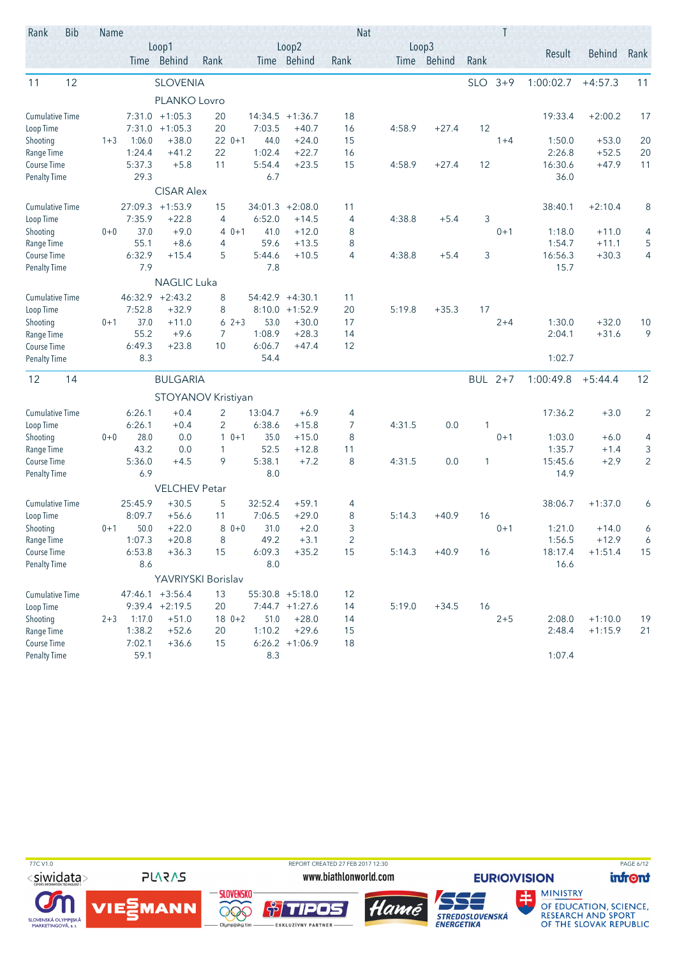| Rank                               | <b>Bib</b> | Name    |               |                              |                         |                   |                      |              | <b>Nat</b> |                      |            | T       |                 |           |                |
|------------------------------------|------------|---------|---------------|------------------------------|-------------------------|-------------------|----------------------|--------------|------------|----------------------|------------|---------|-----------------|-----------|----------------|
|                                    |            |         |               | Loop1<br>Time Behind         | Rank                    |                   | Loop2<br>Time Behind | Rank         |            | Loop3<br>Time Behind | Rank       |         | Result          | Behind    | Rank           |
| 11                                 | 12         |         |               | <b>SLOVENIA</b>              |                         |                   |                      |              |            |                      | <b>SLO</b> | $3 + 9$ | 1:00:02.7       | $+4:57.3$ | 11             |
|                                    |            |         |               | PLANKO Lovro                 |                         |                   |                      |              |            |                      |            |         |                 |           |                |
| <b>Cumulative Time</b>             |            |         |               | $7:31.0 +1:05.3$             | 20                      |                   | $14:34.5 +1:36.7$    | 18           |            |                      |            |         | 19:33.4         | $+2:00.2$ | 17             |
| Loop Time                          |            |         | 7:31.0        | $+1:05.3$                    | 20                      | 7:03.5            | $+40.7$              | 16           | 4:58.9     | $+27.4$              | 12         |         |                 |           |                |
| Shooting                           |            | $1 + 3$ | 1:06.0        | $+38.0$                      | $220+1$                 | 44.0              | $+24.0$              | 15           |            |                      |            | $1 + 4$ | 1:50.0          | $+53.0$   | 20             |
| Range Time                         |            |         | 1:24.4        | $+41.2$                      | 22                      | 1:02.4            | $+22.7$              | 16           |            |                      |            |         | 2:26.8          | $+52.5$   | 20             |
| Course Time                        |            |         | 5:37.3        | $+5.8$                       | 11                      | 5:54.4            | $+23.5$              | 15           | 4:58.9     | $+27.4$              | 12         |         | 16:30.6         | $+47.9$   | 11             |
| <b>Penalty Time</b>                |            |         | 29.3          | <b>CISAR Alex</b>            |                         | 6.7               |                      |              |            |                      |            |         | 36.0            |           |                |
|                                    |            |         |               |                              |                         |                   |                      |              |            |                      |            |         |                 |           |                |
| <b>Cumulative Time</b>             |            |         | 7:35.9        | $27:09.3 +1:53.9$<br>$+22.8$ | 15                      | 34:01.3<br>6:52.0 | $+2:08.0$            | 11           | 4:38.8     | $+5.4$               | 3          |         | 38:40.1         | $+2:10.4$ | 8              |
| Loop Time<br>Shooting              |            | $0 + 0$ | 37.0          | $+9.0$                       | 4<br>$40+1$             | 41.0              | $+14.5$<br>$+12.0$   | 4<br>8       |            |                      |            | $0 + 1$ | 1:18.0          | $+11.0$   | 4              |
| Range Time                         |            |         | 55.1          | $+8.6$                       | 4                       | 59.6              | $+13.5$              | 8            |            |                      |            |         | 1:54.7          | $+11.1$   | $\mathsf S$    |
| Course Time                        |            |         | 6:32.9        | $+15.4$                      | 5                       | 5:44.6            | $+10.5$              | 4            | 4:38.8     | $+5.4$               | 3          |         | 16:56.3         | $+30.3$   | 4              |
| <b>Penalty Time</b>                |            |         | 7.9           |                              |                         | 7.8               |                      |              |            |                      |            |         | 15.7            |           |                |
|                                    |            |         |               | <b>NAGLIC Luka</b>           |                         |                   |                      |              |            |                      |            |         |                 |           |                |
| <b>Cumulative Time</b>             |            |         | 46:32.9       | $+2:43.2$                    | 8                       | 54:42.9           | $+4:30.1$            | 11           |            |                      |            |         |                 |           |                |
| Loop Time                          |            |         | 7:52.8        | $+32.9$                      | 8                       |                   | $8:10.0 +1:52.9$     | 20           | 5:19.8     | $+35.3$              | 17         |         |                 |           |                |
| Shooting                           |            | $0 + 1$ | 37.0          | $+11.0$                      | $62+3$                  | 53.0              | $+30.0$              | 17           |            |                      |            | $2 + 4$ | 1:30.0          | $+32.0$   | 10             |
| Range Time                         |            |         | 55.2          | $+9.6$                       | $\overline{7}$          | 1:08.9            | $+28.3$              | 14           |            |                      |            |         | 2:04.1          | $+31.6$   | 9              |
| Course Time                        |            |         | 6:49.3        | $+23.8$                      | 10                      | 6:06.7            | $+47.4$              | 12           |            |                      |            |         |                 |           |                |
| <b>Penalty Time</b>                |            |         | 8.3           |                              |                         | 54.4              |                      |              |            |                      |            |         | 1:02.7          |           |                |
| 12                                 | 14         |         |               | <b>BULGARIA</b>              |                         |                   |                      |              |            |                      | BUL 2+7    |         | 1:00:49.8       | $+5:44.4$ | 12             |
|                                    |            |         |               |                              | STOYANOV Kristiyan      |                   |                      |              |            |                      |            |         |                 |           |                |
| <b>Cumulative Time</b>             |            |         | 6:26.1        | $+0.4$                       | 2                       | 13:04.7           | $+6.9$               | 4            |            |                      |            |         | 17:36.2         | $+3.0$    | $\overline{2}$ |
| Loop Time                          |            |         | 6:26.1        | $+0.4$                       | 2                       | 6:38.6            | $+15.8$              | 7            | 4:31.5     | 0.0                  | 1          |         |                 |           |                |
| Shooting                           |            | $0 + 0$ | 28.0          | 0.0                          | $\mathbf{1}$<br>$0 + 1$ | 35.0              | $+15.0$              | 8            |            |                      |            | $0 + 1$ | 1:03.0          | $+6.0$    | 4              |
| Range Time                         |            |         | 43.2          | 0.0                          | 1                       | 52.5              | $+12.8$              | 11           |            |                      |            |         | 1:35.7          | $+1.4$    | 3              |
| Course Time<br><b>Penalty Time</b> |            |         | 5:36.0<br>6.9 | $+4.5$                       | 9                       | 5:38.1<br>8.0     | $+7.2$               | 8            | 4:31.5     | 0.0                  | 1          |         | 15:45.6<br>14.9 | $+2.9$    | $\overline{2}$ |
|                                    |            |         |               | <b>VELCHEV Petar</b>         |                         |                   |                      |              |            |                      |            |         |                 |           |                |
| <b>Cumulative Time</b>             |            |         | 25:45.9       | $+30.5$                      |                         | 32:52.4           | $+59.1$              |              |            |                      |            |         | 38:06.7         |           |                |
| Loop Time                          |            |         | 8:09.7        | $+56.6$                      | 5<br>11                 | 7:06.5            | $+29.0$              | 4<br>8       | 5:14.3     | $+40.9$              | 16         |         |                 | $+1:37.0$ | 6              |
| Shooting                           |            | $0 + 1$ | 50.0          | $+22.0$                      | $80+0$                  | 31.0              | $+2.0$               | 3            |            |                      |            | $0 + 1$ | 1:21.0          | $+14.0$   | 6              |
| Range Time                         |            |         | 1:07.3        | $+20.8$                      | 8                       | 49.2              | $+3.1$               | $\mathbf{2}$ |            |                      |            |         | 1:56.5          | $+12.9$   | 6              |
| Course Time                        |            |         | 6:53.8        | $+36.3$                      | 15                      | 6:09.3            | $+35.2$              | 15           | 5:14.3     | $+40.9$              | 16         |         | 18:17.4         | $+1:51.4$ | 15             |
| <b>Penalty Time</b>                |            |         | 8.6           |                              |                         | 8.0               |                      |              |            |                      |            |         | 16.6            |           |                |
|                                    |            |         |               |                              | YAVRIYSKI Borislav      |                   |                      |              |            |                      |            |         |                 |           |                |
| <b>Cumulative Time</b>             |            |         |               | $47:46.1 + 3:56.4$           | 13                      |                   | $55:30.8$ +5:18.0    | 12           |            |                      |            |         |                 |           |                |
| Loop Time                          |            |         |               | $9:39.4 +2:19.5$             | 20                      |                   | 7:44.7 +1:27.6       | 14           | 5:19.0     | $+34.5$              | 16         |         |                 |           |                |
| Shooting                           |            | $2 + 3$ | 1:17.0        | $+51.0$                      | $180+2$                 | 51.0              | $+28.0$              | 14           |            |                      |            | $2 + 5$ | 2:08.0          | $+1:10.0$ | 19             |
| Range Time                         |            |         | 1:38.2        | $+52.6$                      | 20                      | 1:10.2            | $+29.6$              | 15           |            |                      |            |         | 2:48.4          | $+1:15.9$ | 21             |
| Course Time                        |            |         | 7:02.1        | $+36.6$                      | 15                      |                   | $6:26.2 +1:06.9$     | 18           |            |                      |            |         |                 |           |                |
| <b>Penalty Time</b>                |            |         | 59.1          |                              |                         | 8.3               |                      |              |            |                      |            |         | 1:07.4          |           |                |

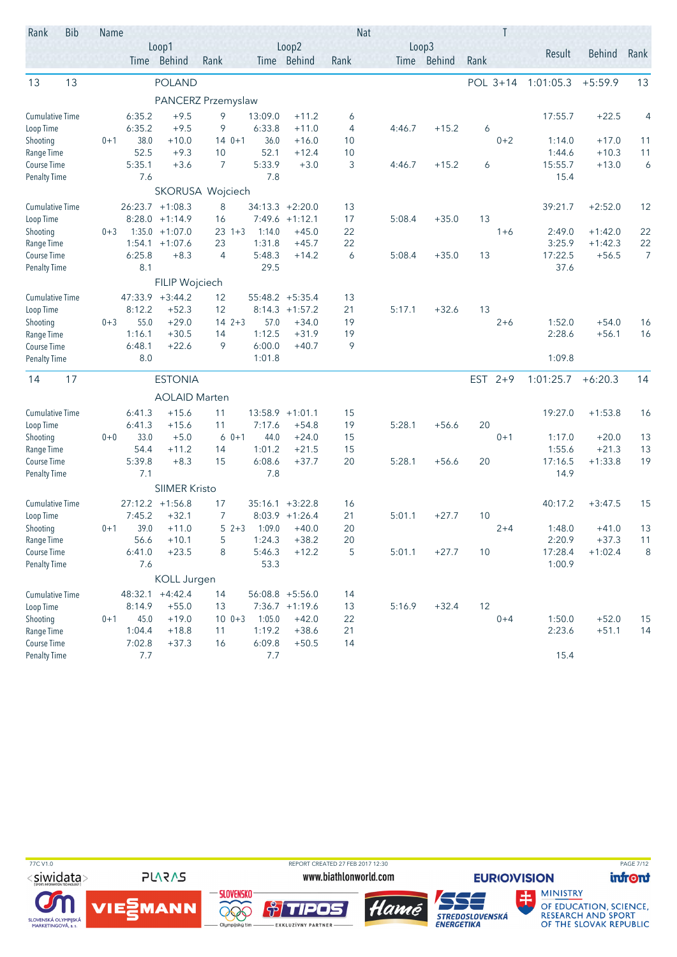| Rank                      | <b>Bib</b> | Name    |                |                      |                      |        |                  |                             |          | <b>Nat</b> |                      |           | Τ        |                   |                      |                |
|---------------------------|------------|---------|----------------|----------------------|----------------------|--------|------------------|-----------------------------|----------|------------|----------------------|-----------|----------|-------------------|----------------------|----------------|
|                           |            |         |                | Loop1<br>Time Behind | Rank                 |        |                  | Loop2<br>Time Behind        | Rank     |            | Loop3<br>Time Behind | Rank      |          | Result            | Behind               | Rank           |
| 13                        | 13         |         |                | <b>POLAND</b>        |                      |        |                  |                             |          |            |                      |           | POL 3+14 | 1:01:05.3         | $+5:59.9$            | 13             |
|                           |            |         |                | PANCERZ Przemyslaw   |                      |        |                  |                             |          |            |                      |           |          |                   |                      |                |
| <b>Cumulative Time</b>    |            |         | 6:35.2         | $+9.5$               | 9                    |        | 13:09.0          | $+11.2$                     | 6        |            |                      |           |          | 17:55.7           | $+22.5$              | 4              |
| Loop Time                 |            |         | 6:35.2         | $+9.5$               | 9                    |        | 6:33.8           | $+11.0$                     | 4        | 4:46.7     | $+15.2$              | 6         |          |                   |                      |                |
| Shooting                  |            | $0 + 1$ | 38.0           | $+10.0$              | $140+1$              |        | 36.0             | $+16.0$                     | 10       |            |                      |           | $0 + 2$  | 1:14.0            | $+17.0$              | 11             |
| Range Time<br>Course Time |            |         | 52.5<br>5:35.1 | $+9.3$<br>$+3.6$     | 10<br>$\overline{7}$ |        | 52.1<br>5:33.9   | $+12.4$<br>$+3.0$           | 10<br>3  | 4:46.7     | $+15.2$              | 6         |          | 1:44.6<br>15:55.7 | $+10.3$<br>$+13.0$   | 11<br>6        |
| <b>Penalty Time</b>       |            |         | 7.6            |                      |                      |        | 7.8              |                             |          |            |                      |           |          | 15.4              |                      |                |
|                           |            |         |                | SKORUSA Wojciech     |                      |        |                  |                             |          |            |                      |           |          |                   |                      |                |
| <b>Cumulative Time</b>    |            |         |                | $26:23.7 +1:08.3$    | 8                    |        |                  | $34:13.3 +2:20.0$           | 13       |            |                      |           |          | 39:21.7           | $+2:52.0$            | 12             |
| Loop Time                 |            |         | 8:28.0         | $+1:14.9$            | 16                   |        |                  | $7:49.6 +1:12.1$            | 17       | 5:08.4     | $+35.0$              | 13        |          |                   |                      |                |
| Shooting                  |            | $0 + 3$ | 1:35.0         | $+1:07.0$            | $23 + 3$             |        | 1:14.0           | $+45.0$                     | 22       |            |                      |           | $1 + 6$  | 2:49.0            | $+1:42.0$            | 22             |
| Range Time                |            |         | 1:54.1         | $+1:07.6$            | 23                   |        | 1:31.8           | $+45.7$                     | 22       |            |                      |           |          | 3:25.9            | $+1:42.3$            | 22             |
| Course Time               |            |         | 6:25.8         | $+8.3$               | 4                    |        | 5:48.3           | $+14.2$                     | 6        | 5:08.4     | $+35.0$              | 13        |          | 17:22.5           | $+56.5$              | $\overline{7}$ |
| <b>Penalty Time</b>       |            |         | 8.1            | FILIP Wojciech       |                      |        | 29.5             |                             |          |            |                      |           |          | 37.6              |                      |                |
| <b>Cumulative Time</b>    |            |         | 47:33.9        | $+3:44.2$            | 12                   |        |                  | 55:48.2 +5:35.4             | 13       |            |                      |           |          |                   |                      |                |
| Loop Time                 |            |         | 8:12.2         | $+52.3$              | 12                   |        |                  | $8:14.3 +1:57.2$            | 21       | 5:17.1     | $+32.6$              | 13        |          |                   |                      |                |
| Shooting                  |            | $0 + 3$ | 55.0           | $+29.0$              | $142+3$              |        | 57.0             | $+34.0$                     | 19       |            |                      |           | $2 + 6$  | 1:52.0            | $+54.0$              | 16             |
| Range Time                |            |         | 1:16.1         | $+30.5$              | 14                   |        | 1:12.5           | $+31.9$                     | 19       |            |                      |           |          | 2:28.6            | $+56.1$              | 16             |
| Course Time               |            |         | 6:48.1         | $+22.6$              | 9                    |        | 6:00.0           | $+40.7$                     | 9        |            |                      |           |          |                   |                      |                |
| <b>Penalty Time</b>       |            |         | 8.0            |                      |                      |        | 1:01.8           |                             |          |            |                      |           |          | 1:09.8            |                      |                |
| 14                        | 17         |         |                | <b>ESTONIA</b>       |                      |        |                  |                             |          |            |                      | EST $2+9$ |          | 1:01:25.7         | $+6:20.3$            | 14             |
|                           |            |         |                | <b>AOLAID Marten</b> |                      |        |                  |                             |          |            |                      |           |          |                   |                      |                |
| <b>Cumulative Time</b>    |            |         | 6:41.3         | $+15.6$              | 11                   |        |                  | 13:58.9 +1:01.1             | 15       |            |                      |           |          | 19:27.0           | $+1:53.8$            | 16             |
| Loop Time                 |            |         | 6:41.3         | $+15.6$              | 11                   |        | 7:17.6           | $+54.8$                     | 19       | 5:28.1     | $+56.6$              | 20        |          |                   |                      |                |
| Shooting                  |            | $0 + 0$ | 33.0           | $+5.0$               |                      | $60+1$ | 44.0             | $+24.0$                     | 15       |            |                      |           | $0 + 1$  | 1:17.0            | $+20.0$              | 13             |
| Range Time<br>Course Time |            |         | 54.4<br>5:39.8 | $+11.2$<br>$+8.3$    | 14<br>15             |        | 1:01.2<br>6:08.6 | $+21.5$<br>$+37.7$          | 15<br>20 | 5:28.1     | $+56.6$              | 20        |          | 1:55.6<br>17:16.5 | $+21.3$<br>$+1:33.8$ | 13<br>19       |
| <b>Penalty Time</b>       |            |         | 7.1            |                      |                      |        | 7.8              |                             |          |            |                      |           |          | 14.9              |                      |                |
|                           |            |         |                | <b>SIIMER Kristo</b> |                      |        |                  |                             |          |            |                      |           |          |                   |                      |                |
| <b>Cumulative Time</b>    |            |         | 27:12.2        | $+1:56.8$            | 17                   |        | 35:16.1          | $+3:22.8$                   | 16       |            |                      |           |          | 40:17.2           | $+3:47.5$            | 15             |
| Loop Time                 |            |         | 7:45.2         | $+32.1$              | 7                    |        |                  | $8:03.9$ +1:26.4            | 21       | 5:01.1     | $+27.7$              | 10        |          |                   |                      |                |
| Shooting                  |            | $0 + 1$ | 39.0           | $+11.0$              |                      | $52+3$ | 1:09.0           | $+40.0$                     | 20       |            |                      |           | $2 + 4$  | 1:48.0            | $+41.0$              | 13             |
| Range Time                |            |         | 56.6           | $+10.1$              | 5                    |        | 1:24.3           | $+38.2$                     | 20       |            |                      |           |          | 2:20.9            | $+37.3$              | 11             |
| Course Time               |            |         | 6:41.0         | $+23.5$              | 8                    |        | 5:46.3           | $+12.2$                     | 5        | 5:01.1     | $+27.7$              | 10        |          | 17:28.4           | $+1:02.4$            | 8              |
| <b>Penalty Time</b>       |            |         | 7.6            |                      |                      |        | 53.3             |                             |          |            |                      |           |          | 1:00.9            |                      |                |
|                           |            |         |                | KOLL Jurgen          |                      |        |                  |                             |          |            |                      |           |          |                   |                      |                |
| <b>Cumulative Time</b>    |            |         |                | 48:32.1 +4:42.4      | 14                   |        |                  | $56:08.8$ +5:56.0           | 14       |            |                      |           |          |                   |                      |                |
| Loop Time<br>Shooting     |            |         | 8:14.9<br>45.0 | $+55.0$<br>$+19.0$   | 13<br>$100+3$        |        | 1:05.0           | $7:36.7 +1:19.6$<br>$+42.0$ | 13<br>22 | 5:16.9     | $+32.4$              | 12        | $0 + 4$  | 1:50.0            | $+52.0$              |                |
| Range Time                |            | $0 + 1$ | 1:04.4         | $+18.8$              | 11                   |        | 1:19.2           | $+38.6$                     | 21       |            |                      |           |          | 2:23.6            | $+51.1$              | 15<br>14       |
| Course Time               |            |         | 7:02.8         | $+37.3$              | 16                   |        | 6:09.8           | $+50.5$                     | 14       |            |                      |           |          |                   |                      |                |
| <b>Penalty Time</b>       |            |         | 7.7            |                      |                      |        | 7.7              |                             |          |            |                      |           |          | 15.4              |                      |                |

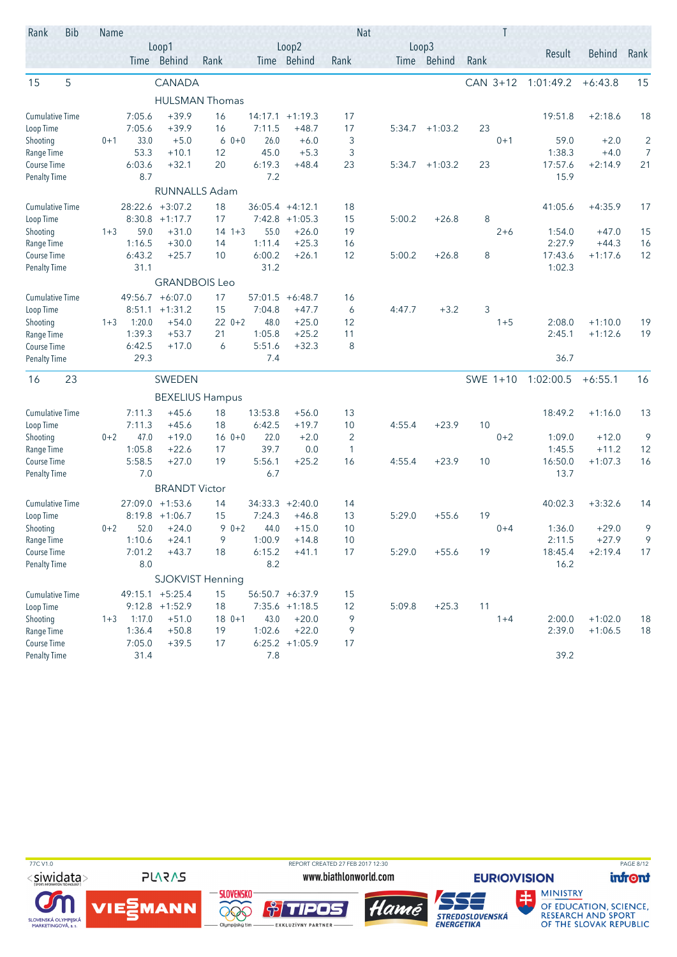| Rank                                | <b>Bib</b> | Name    |                |                                 |                        |               |                              |          | <b>Nat</b> |                      |          |         |                 |               |                |
|-------------------------------------|------------|---------|----------------|---------------------------------|------------------------|---------------|------------------------------|----------|------------|----------------------|----------|---------|-----------------|---------------|----------------|
|                                     |            |         |                | Loop1<br>Time Behind            | Rank                   |               | Loop2<br>Time Behind         | Rank     |            | Loop3<br>Time Behind | Rank     |         | Result          | <b>Behind</b> | Rank           |
|                                     |            |         |                |                                 |                        |               |                              |          |            |                      |          |         |                 |               |                |
| 15                                  | 5          |         |                | CANADA                          |                        |               |                              |          |            |                      | CAN 3+12 |         | 1:01:49.2       | $+6:43.8$     | 15             |
|                                     |            |         |                |                                 | <b>HULSMAN Thomas</b>  |               |                              |          |            |                      |          |         |                 |               |                |
| <b>Cumulative Time</b>              |            |         | 7:05.6         | $+39.9$                         | 16                     | 14:17.1       | $+1:19.3$                    | 17       |            |                      |          |         | 19:51.8         | $+2:18.6$     | 18             |
| Loop Time                           |            |         | 7:05.6         | $+39.9$                         | 16                     | 7:11.5        | $+48.7$                      | 17       | 5:34.7     | $+1:03.2$            | 23       |         |                 |               |                |
| Shooting                            |            | $0 + 1$ | 33.0           | $+5.0$                          | $60+0$                 | 26.0          | $+6.0$                       | 3        |            |                      |          | $0 + 1$ | 59.0            | $+2.0$        | 2              |
| Range Time                          |            |         | 53.3           | $+10.1$                         | 12                     | 45.0          | $+5.3$                       | 3        |            |                      |          |         | 1:38.3          | $+4.0$        | $\overline{7}$ |
| Course Time<br><b>Penalty Time</b>  |            |         | 6:03.6<br>8.7  | $+32.1$                         | 20                     | 6:19.3<br>7.2 | $+48.4$                      | 23       | 5:34.7     | $+1:03.2$            | 23       |         | 17:57.6<br>15.9 | $+2:14.9$     | 21             |
|                                     |            |         |                |                                 | <b>RUNNALLS Adam</b>   |               |                              |          |            |                      |          |         |                 |               |                |
| Cumulative Time                     |            |         |                | 28:22.6 +3:07.2                 | 18                     |               | $36:05.4 +4:12.1$            | 18       |            |                      |          |         | 41:05.6         | $+4:35.9$     | 17             |
| Loop Time                           |            |         | 8:30.8         | $+1:17.7$                       | 17                     |               | $7:42.8$ +1:05.3             | 15       | 5:00.2     | $+26.8$              | 8        |         |                 |               |                |
| Shooting                            |            | $1 + 3$ | 59.0           | $+31.0$                         | $14 + 3$               | 55.0          | $+26.0$                      | 19       |            |                      |          | $2 + 6$ | 1:54.0          | $+47.0$       | 15             |
| Range Time                          |            |         | 1:16.5         | $+30.0$                         | 14                     | 1:11.4        | $+25.3$                      | 16       |            |                      |          |         | 2:27.9          | $+44.3$       | 16             |
| Course Time                         |            |         | 6:43.2         | $+25.7$                         | 10                     | 6:00.2        | $+26.1$                      | 12       | 5:00.2     | $+26.8$              | 8        |         | 17:43.6         | $+1:17.6$     | 12             |
| <b>Penalty Time</b>                 |            |         | 31.1           |                                 |                        | 31.2          |                              |          |            |                      |          |         | 1:02.3          |               |                |
|                                     |            |         |                | <b>GRANDBOIS Leo</b>            |                        |               |                              |          |            |                      |          |         |                 |               |                |
| <b>Cumulative Time</b>              |            |         | 49:56.7        | $+6:07.0$                       | 17                     | 57:01.5       | $+6:48.7$                    | 16       |            |                      |          |         |                 |               |                |
| Loop Time                           |            |         | 8:51.1         | $+1:31.2$                       | 15                     | 7:04.8        | $+47.7$                      | 6        | 4:47.7     | $+3.2$               | 3        |         |                 |               |                |
| Shooting                            |            | $1 + 3$ | 1:20.0         | $+54.0$                         | $220+2$                | 48.0          | $+25.0$                      | 12       |            |                      |          | $1 + 5$ | 2:08.0          | $+1:10.0$     | 19             |
| Range Time                          |            |         | 1:39.3         | $+53.7$                         | 21                     | 1:05.8        | $+25.2$                      | 11       |            |                      |          |         | 2:45.1          | $+1:12.6$     | 19             |
| Course Time                         |            |         | 6:42.5<br>29.3 | $+17.0$                         | 6                      | 5:51.6<br>7.4 | $+32.3$                      | 8        |            |                      |          |         | 36.7            |               |                |
| <b>Penalty Time</b>                 |            |         |                |                                 |                        |               |                              |          |            |                      |          |         |                 |               |                |
| 16                                  | 23         |         |                | SWEDEN                          |                        |               |                              |          |            |                      | SWE 1+10 |         | 1:02:00.5       | $+6:55.1$     | 16             |
|                                     |            |         |                |                                 | <b>BEXELIUS Hampus</b> |               |                              |          |            |                      |          |         |                 |               |                |
| <b>Cumulative Time</b>              |            |         | 7:11.3         | $+45.6$                         | 18                     | 13:53.8       | $+56.0$                      | 13       |            |                      |          |         | 18:49.2         | $+1:16.0$     | 13             |
| Loop Time                           |            |         | 7:11.3         | $+45.6$                         | 18                     | 6:42.5        | $+19.7$                      | 10       | 4:55.4     | $+23.9$              | 10       |         |                 |               |                |
| Shooting                            |            | $0 + 2$ | 47.0           | $+19.0$                         | $160+1$                | 22.0          | $+2.0$                       | 2        |            |                      |          | $0 + 2$ | 1:09.0          | $+12.0$       | 9              |
| Range Time                          |            |         | 1:05.8         | $+22.6$                         | 17                     | 39.7          | 0.0                          | 1        |            |                      |          |         | 1:45.5          | $+11.2$       | 12             |
| Course Time                         |            |         | 5:58.5         | $+27.0$                         | 19                     | 5:56.1<br>6.7 | $+25.2$                      | 16       | 4:55.4     | $+23.9$              | 10       |         | 16:50.0<br>13.7 | $+1:07.3$     | 16             |
| <b>Penalty Time</b>                 |            |         | 7.0            | <b>BRANDT Victor</b>            |                        |               |                              |          |            |                      |          |         |                 |               |                |
|                                     |            |         |                |                                 |                        |               |                              |          |            |                      |          |         |                 |               |                |
| <b>Cumulative Time</b><br>Loop Time |            |         | 8:19.8         | $27:09.0 + 1:53.6$<br>$+1:06.7$ | 14<br>15               | 7:24.3        | $34:33.3 +2:40.0$<br>$+46.8$ | 14<br>13 | 5:29.0     | $+55.6$              | 19       |         | 40:02.3         | $+3:32.6$     | 14             |
| Shooting                            |            | $0 + 2$ | 52.0           | $+24.0$                         | $90+2$                 | 44.0          | $+15.0$                      | 10       |            |                      |          | $0 + 4$ | 1:36.0          | $+29.0$       | 9              |
| Range Time                          |            |         | 1:10.6         | $+24.1$                         | 9                      | 1:00.9        | $+14.8$                      | 10       |            |                      |          |         | 2:11.5          | $+27.9$       | 9              |
| Course Time                         |            |         | 7:01.2         | $+43.7$                         | 18                     | 6:15.2        | $+41.1$                      | 17       | 5:29.0     | $+55.6$              | 19       |         | 18:45.4         | $+2:19.4$     | 17             |
| <b>Penalty Time</b>                 |            |         | 8.0            |                                 |                        | 8.2           |                              |          |            |                      |          |         | 16.2            |               |                |
|                                     |            |         |                |                                 | SJOKVIST Henning       |               |                              |          |            |                      |          |         |                 |               |                |
| <b>Cumulative Time</b>              |            |         |                | $49:15.1 + 5:25.4$              | 15                     |               | 56:50.7 +6:37.9              | 15       |            |                      |          |         |                 |               |                |
| Loop Time                           |            |         |                | $9:12.8$ +1:52.9                | 18                     |               | $7:35.6$ +1:18.5             | 12       | 5:09.8     | $+25.3$              | 11       |         |                 |               |                |
| Shooting                            |            | $1 + 3$ | 1:17.0         | $+51.0$                         | $180+1$                | 43.0          | $+20.0$                      | 9        |            |                      |          | $1 + 4$ | 2:00.0          | $+1:02.0$     | 18             |
| Range Time                          |            |         | 1:36.4         | $+50.8$                         | 19                     | 1:02.6        | $+22.0$                      | 9        |            |                      |          |         | 2:39.0          | $+1:06.5$     | 18             |
| Course Time                         |            |         | 7:05.0         | $+39.5$                         | 17                     |               | $6:25.2 +1:05.9$             | 17       |            |                      |          |         |                 |               |                |
| <b>Penalty Time</b>                 |            |         | 31.4           |                                 |                        | 7.8           |                              |          |            |                      |          |         | 39.2            |               |                |

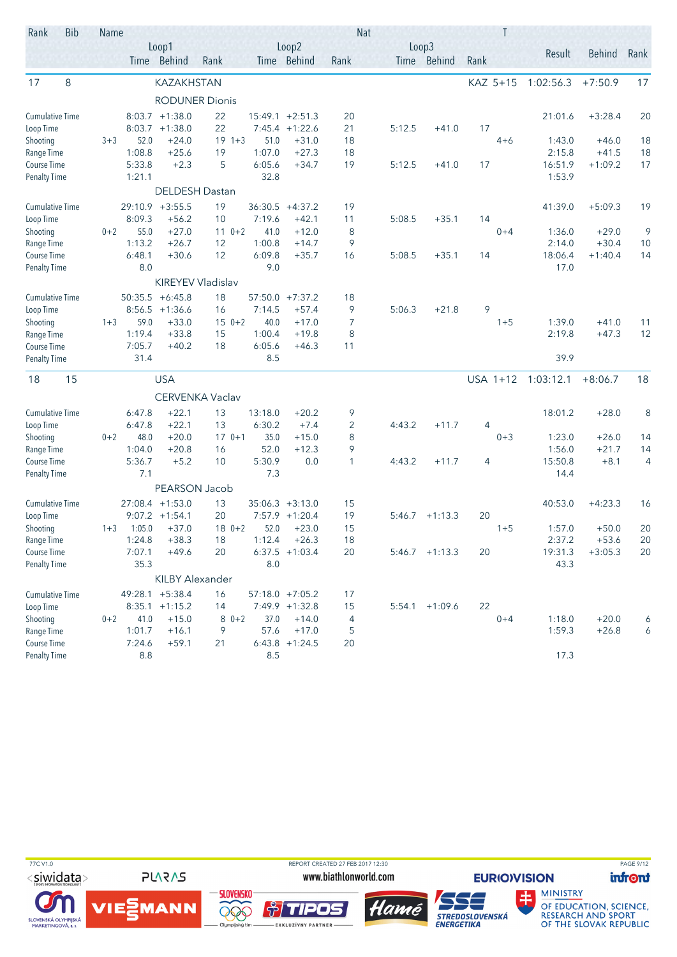| Rank                      | <b>Bib</b> | Name    |                  |                        |                   |               |                             |                | <b>Nat</b> |                  |      | Τ        |           |               |      |
|---------------------------|------------|---------|------------------|------------------------|-------------------|---------------|-----------------------------|----------------|------------|------------------|------|----------|-----------|---------------|------|
|                           |            |         |                  | Loop1                  |                   |               | Loop2                       |                |            | Loop3            |      |          | Result    | <b>Behind</b> | Rank |
|                           |            |         |                  | Time Behind            | Rank              |               | Time Behind                 | Rank           |            | Time Behind      | Rank |          |           |               |      |
| 17                        | 8          |         |                  | <b>KAZAKHSTAN</b>      |                   |               |                             |                |            |                  |      | KAZ 5+15 | 1:02:56.3 | $+7:50.9$     | 17   |
|                           |            |         |                  | <b>RODUNER Dionis</b>  |                   |               |                             |                |            |                  |      |          |           |               |      |
| <b>Cumulative Time</b>    |            |         |                  | $8:03.7 +1:38.0$       | 22                | 15:49.1       | $+2:51.3$                   | 20             |            |                  |      |          | 21:01.6   | $+3:28.4$     | 20   |
| Loop Time                 |            |         | 8:03.7           | $+1:38.0$              | 22                |               | $7:45.4 +1:22.6$            | 21             | 5:12.5     | $+41.0$          | 17   |          |           |               |      |
| Shooting                  |            | $3 + 3$ | 52.0             | $+24.0$                | $19 \t1+3$        | 51.0          | $+31.0$                     | 18             |            |                  |      | $4 + 6$  | 1:43.0    | $+46.0$       | 18   |
| Range Time                |            |         | 1:08.8           | $+25.6$                | 19                | 1:07.0        | $+27.3$                     | 18             |            |                  |      |          | 2:15.8    | $+41.5$       | 18   |
| <b>Course Time</b>        |            |         | 5:33.8           | $+2.3$                 | 5                 | 6:05.6        | $+34.7$                     | 19             | 5:12.5     | $+41.0$          | 17   |          | 16:51.9   | $+1:09.2$     | 17   |
| <b>Penalty Time</b>       |            |         | 1:21.1           |                        |                   | 32.8          |                             |                |            |                  |      |          | 1:53.9    |               |      |
|                           |            |         |                  | <b>DELDESH Dastan</b>  |                   |               |                             |                |            |                  |      |          |           |               |      |
| <b>Cumulative Time</b>    |            |         |                  | $29:10.9 + 3:55.5$     | 19                | 36:30.5       | $+4:37.2$                   | 19             |            |                  |      |          | 41:39.0   | $+5:09.3$     | 19   |
| Loop Time                 |            |         | 8:09.3           | $+56.2$                | 10                | 7:19.6        | $+42.1$                     | 11             | 5:08.5     | $+35.1$          | 14   |          |           |               |      |
| Shooting                  |            | $0 + 2$ | 55.0             | $+27.0$                | $11 \t 0+2$       | 41.0          | $+12.0$                     | 8              |            |                  |      | $0 + 4$  | 1:36.0    | $+29.0$       | 9    |
| Range Time                |            |         | 1:13.2           | $+26.7$                | 12                | 1:00.8        | $+14.7$                     | 9              |            |                  |      |          | 2:14.0    | $+30.4$       | 10   |
| Course Time               |            |         | 6:48.1           | $+30.6$                | 12                | 6:09.8        | $+35.7$                     | 16             | 5:08.5     | $+35.1$          | 14   |          | 18:06.4   | $+1:40.4$     | 14   |
| <b>Penalty Time</b>       |            |         | 8.0              |                        |                   | 9.0           |                             |                |            |                  |      |          | 17.0      |               |      |
|                           |            |         |                  |                        | KIREYEV Vladislav |               |                             |                |            |                  |      |          |           |               |      |
| <b>Cumulative Time</b>    |            |         | 50:35.5          | $+6:45.8$              | 18                | 57:50.0       | $+7:37.2$                   | 18             |            |                  |      |          |           |               |      |
| Loop Time                 |            |         | 8:56.5           | $+1:36.6$              | 16                | 7:14.5        | $+57.4$                     | 9              | 5:06.3     | $+21.8$          | 9    |          |           |               |      |
| Shooting                  |            | $1 + 3$ | 59.0             | $+33.0$                | $150+2$           | 40.0          | $+17.0$                     | 7              |            |                  |      | $1 + 5$  | 1:39.0    | $+41.0$       | 11   |
| Range Time                |            |         | 1:19.4           | $+33.8$                | 15                | 1:00.4        | $+19.8$                     | 8              |            |                  |      |          | 2:19.8    | $+47.3$       | 12   |
| <b>Course Time</b>        |            |         | 7:05.7<br>31.4   | $+40.2$                | 18                | 6:05.6<br>8.5 | $+46.3$                     | 11             |            |                  |      |          | 39.9      |               |      |
| <b>Penalty Time</b>       |            |         |                  |                        |                   |               |                             |                |            |                  |      |          |           |               |      |
| 18                        | 15         |         |                  | <b>USA</b>             |                   |               |                             |                |            |                  |      | USA 1+12 | 1:03:12.1 | $+8:06.7$     | 18   |
|                           |            |         |                  |                        | CERVENKA Vaclav   |               |                             |                |            |                  |      |          |           |               |      |
| <b>Cumulative Time</b>    |            |         | 6:47.8           | $+22.1$                | 13                | 13:18.0       | $+20.2$                     | 9              |            |                  |      |          | 18:01.2   | $+28.0$       | 8    |
| Loop Time                 |            |         | 6:47.8           | $+22.1$                | 13                | 6:30.2        | $+7.4$                      | $\overline{2}$ | 4:43.2     | $+11.7$          | 4    |          |           |               |      |
| Shooting                  |            | $0 + 2$ | 48.0             | $+20.0$                | $170+1$           | 35.0          | $+15.0$                     | 8              |            |                  |      | $0 + 3$  | 1:23.0    | $+26.0$       | 14   |
| Range Time                |            |         | 1:04.0           | $+20.8$                | 16                | 52.0          | $+12.3$                     | 9              |            |                  |      |          | 1:56.0    | $+21.7$       | 14   |
| <b>Course Time</b>        |            |         | 5:36.7           | $+5.2$                 | 10                | 5:30.9        | 0.0                         | 1              | 4:43.2     | $+11.7$          | 4    |          | 15:50.8   | $+8.1$        | 4    |
| <b>Penalty Time</b>       |            |         | 7.1              |                        |                   | 7.3           |                             |                |            |                  |      |          | 14.4      |               |      |
|                           |            |         |                  | PEARSON Jacob          |                   |               |                             |                |            |                  |      |          |           |               |      |
| <b>Cumulative Time</b>    |            |         |                  | $27:08.4$ +1:53.0      | 13                |               | $35:06.3 +3:13.0$           | 15             |            |                  |      |          | 40:53.0   | $+4:23.3$     | 16   |
| Loop Time                 |            |         |                  | $9:07.2 +1:54.1$       | 20                |               | $7:57.9$ +1:20.4            | 19             | 5:46.7     | $+1:13.3$        | 20   |          |           |               |      |
| Shooting                  |            | $1 + 3$ | 1:05.0           | $+37.0$                | $180+2$           | 52.0          | $+23.0$                     | 15             |            |                  |      | $1 + 5$  | 1:57.0    | $+50.0$       | 20   |
| Range Time                |            |         | 1:24.8           | $+38.3$                | 18                | 1:12.4        | $+26.3$                     | 18             |            |                  |      |          | 2:37.2    | $+53.6$       | 20   |
| Course Time               |            |         | 7:07.1           | $+49.6$                | 20                |               | $6:37.5 +1:03.4$            | 20             |            | $5:46.7$ +1:13.3 | 20   |          | 19:31.3   | $+3:05.3$     | 20   |
| <b>Penalty Time</b>       |            |         | 35.3             |                        |                   | 8.0           |                             |                |            |                  |      |          | 43.3      |               |      |
|                           |            |         |                  | <b>KILBY Alexander</b> |                   |               |                             |                |            |                  |      |          |           |               |      |
| <b>Cumulative Time</b>    |            |         |                  | 49:28.1 +5:38.4        | 16                |               | $57:18.0 + 7:05.2$          | 17             |            |                  |      |          |           |               |      |
| Loop Time                 |            |         |                  | $8:35.1 +1:15.2$       | 14                |               | 7:49.9 +1:32.8              | 15             | 5:54.1     | $+1:09.6$        | 22   |          |           |               |      |
| Shooting                  |            | $0 + 2$ | 41.0             | $+15.0$                | $80+2$            | 37.0          | $+14.0$                     | 4              |            |                  |      | $0 + 4$  | 1:18.0    | $+20.0$       | 6    |
| Range Time<br>Course Time |            |         | 1:01.7<br>7:24.6 | $+16.1$<br>$+59.1$     | 9<br>21           | 57.6          | $+17.0$<br>$6:43.8$ +1:24.5 | 5<br>20        |            |                  |      |          | 1:59.3    | $+26.8$       | 6    |
| <b>Penalty Time</b>       |            |         | $8.8\,$          |                        |                   | $8.5\,$       |                             |                |            |                  |      |          | 17.3      |               |      |
|                           |            |         |                  |                        |                   |               |                             |                |            |                  |      |          |           |               |      |

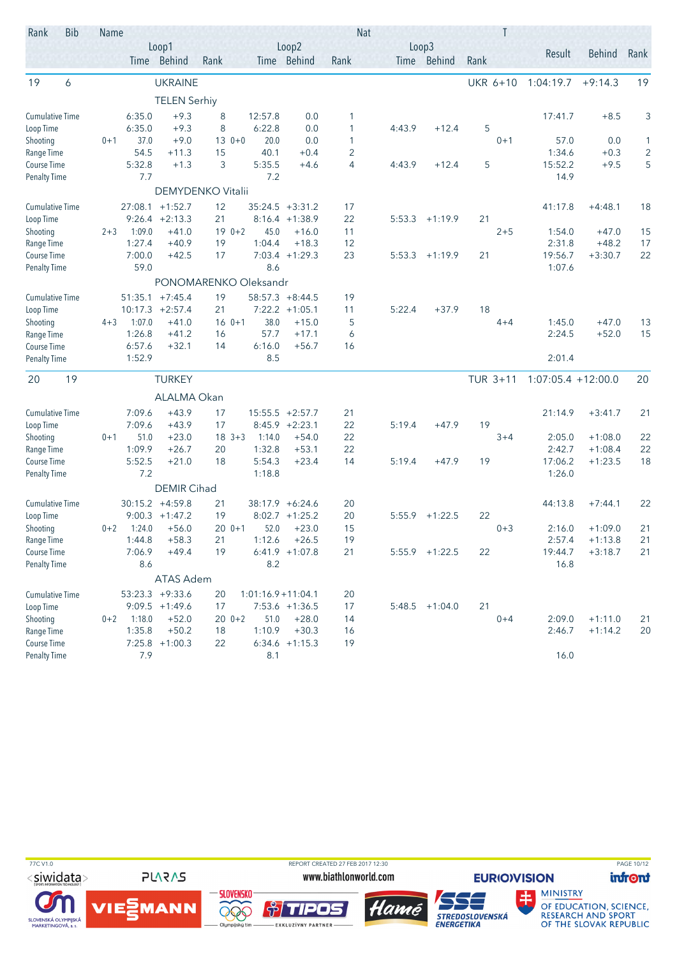| Rank                   | <b>Bib</b> | Name    |         |                       |            |         |                       |      | <b>Nat</b> |                      |      |                 |                      |               |                |
|------------------------|------------|---------|---------|-----------------------|------------|---------|-----------------------|------|------------|----------------------|------|-----------------|----------------------|---------------|----------------|
|                        |            |         |         | Loop1<br>Time Behind  | Rank       |         | Loop2<br>Time Behind  | Rank |            | Loop3<br>Time Behind | Rank |                 | Result               | <b>Behind</b> | Rank           |
| 19                     | 6          |         |         | <b>UKRAINE</b>        |            |         |                       |      |            |                      |      | <b>UKR 6+10</b> | 1:04:19.7            | $+9:14.3$     | 19             |
|                        |            |         |         | <b>TELEN Serhiy</b>   |            |         |                       |      |            |                      |      |                 |                      |               |                |
| <b>Cumulative Time</b> |            |         | 6:35.0  | $+9.3$                | 8          | 12:57.8 | 0.0                   | 1    |            |                      |      |                 | 17:41.7              | $+8.5$        | 3              |
| Loop Time              |            |         | 6:35.0  | $+9.3$                | 8          | 6:22.8  | 0.0                   | 1    | 4:43.9     | $+12.4$              | 5    |                 |                      |               |                |
| Shooting               |            | $0 + 1$ | 37.0    | $+9.0$                | $130+0$    |         | 20.0<br>0.0           | 1    |            |                      |      | $0 + 1$         | 57.0                 | 0.0           | 1              |
| Range Time             |            |         | 54.5    | $+11.3$               | 15         | 40.1    | $+0.4$                | 2    |            |                      |      |                 | 1:34.6               | $+0.3$        | $\overline{c}$ |
| Course Time            |            |         | 5:32.8  | $+1.3$                | 3          | 5:35.5  | $+4.6$                | 4    | 4:43.9     | $+12.4$              | 5    |                 | 15:52.2              | $+9.5$        | 5              |
| <b>Penalty Time</b>    |            |         | 7.7     |                       |            |         | 7.2                   |      |            |                      |      |                 | 14.9                 |               |                |
|                        |            |         |         | DEMYDENKO Vitalii     |            |         |                       |      |            |                      |      |                 |                      |               |                |
| Cumulative Time        |            |         |         | $27:08.1$ +1:52.7     | 12         |         | $35:24.5 +3:31.2$     | 17   |            |                      |      |                 | 41:17.8              | $+4:48.1$     | 18             |
| Loop Time              |            |         | 9:26.4  | $+2:13.3$             | 21         |         | $8:16.4 +1:38.9$      | 22   | 5:53.3     | $+1:19.9$            | 21   |                 |                      |               |                |
| Shooting               |            | $2 + 3$ | 1:09.0  | $+41.0$               | $190+2$    |         | 45.0<br>$+16.0$       | 11   |            |                      |      | $2 + 5$         | 1:54.0               | $+47.0$       | 15             |
| Range Time             |            |         | 1:27.4  | $+40.9$               | 19         | 1:04.4  | $+18.3$               | 12   |            |                      |      |                 | 2:31.8               | $+48.2$       | 17             |
| Course Time            |            |         | 7:00.0  | $+42.5$               | 17         |         | $7:03.4$ +1:29.3      | 23   | 5:53.3     | $+1:19.9$            | 21   |                 | 19:56.7              | $+3:30.7$     | 22             |
| <b>Penalty Time</b>    |            |         | 59.0    |                       |            |         | 8.6                   |      |            |                      |      |                 | 1:07.6               |               |                |
|                        |            |         |         | PONOMARENKO Oleksandr |            |         |                       |      |            |                      |      |                 |                      |               |                |
| <b>Cumulative Time</b> |            |         | 51:35.1 | $+7:45.4$             | 19         |         | $58:57.3 + 8:44.5$    | 19   |            |                      |      |                 |                      |               |                |
| Loop Time              |            |         | 10:17.3 | $+2:57.4$             | 21         |         | $7:22.2$ +1:05.1      | 11   | 5:22.4     | $+37.9$              | 18   |                 |                      |               |                |
| Shooting               |            | $4 + 3$ | 1:07.0  | $+41.0$               | $160+1$    |         | 38.0<br>$+15.0$       | 5    |            |                      |      | $4 + 4$         | 1:45.0               | $+47.0$       | 13             |
| Range Time             |            |         | 1:26.8  | $+41.2$               | 16         | 57.7    | $+17.1$               | 6    |            |                      |      |                 | 2:24.5               | $+52.0$       | 15             |
| Course Time            |            |         | 6:57.6  | $+32.1$               | 14         | 6:16.0  | $+56.7$<br>8.5        | 16   |            |                      |      |                 | 2:01.4               |               |                |
| <b>Penalty Time</b>    |            |         | 1:52.9  |                       |            |         |                       |      |            |                      |      |                 |                      |               |                |
| 20                     | 19         |         |         | <b>TURKEY</b>         |            |         |                       |      |            |                      |      | TUR 3+11        | $1:07:05.4 +12:00.0$ |               | 20             |
|                        |            |         |         | ALALMA Okan           |            |         |                       |      |            |                      |      |                 |                      |               |                |
| <b>Cumulative Time</b> |            |         | 7:09.6  | $+43.9$               | 17         |         | $15:55.5 + 2:57.7$    | 21   |            |                      |      |                 | 21:14.9              | $+3:41.7$     | 21             |
| Loop Time              |            |         | 7:09.6  | $+43.9$               | 17         |         | $8:45.9 +2:23.1$      | 22   | 5:19.4     | $+47.9$              | 19   |                 |                      |               |                |
| Shooting               |            | $0 + 1$ | 51.0    | $+23.0$               | $18 \t3+3$ | 1:14.0  | $+54.0$               | 22   |            |                      |      | $3 + 4$         | 2:05.0               | $+1:08.0$     | 22             |
| Range Time             |            |         | 1:09.9  | $+26.7$               | 20         | 1:32.8  | $+53.1$               | 22   |            |                      |      |                 | 2:42.7               | $+1:08.4$     | 22             |
| Course Time            |            |         | 5:52.5  | $+21.0$               | 18         | 5:54.3  | $+23.4$               | 14   | 5:19.4     | $+47.9$              | 19   |                 | 17:06.2              | $+1:23.5$     | 18             |
| <b>Penalty Time</b>    |            |         | 7.2     |                       |            | 1:18.8  |                       |      |            |                      |      |                 | 1:26.0               |               |                |
|                        |            |         |         | <b>DEMIR Cihad</b>    |            |         |                       |      |            |                      |      |                 |                      |               |                |
| <b>Cumulative Time</b> |            |         |         | $30:15.2 +4:59.8$     | 21         |         | 38:17.9 +6:24.6       | 20   |            |                      |      |                 | 44:13.8              | $+7:44.1$     | 22             |
| Loop Time              |            |         | 9:00.3  | $+1:47.2$             | 19         |         | $8:02.7 +1:25.2$      | 20   | 5:55.9     | $+1:22.5$            | 22   |                 |                      |               |                |
| Shooting               |            | $0 + 2$ | 1:24.0  | $+56.0$               | $200 + 1$  |         | 52.0<br>$+23.0$       | 15   |            |                      |      | $0 + 3$         | 2:16.0               | $+1:09.0$     | 21             |
| Range Time             |            |         | 1:44.8  | $+58.3$               | 21         | 1:12.6  | $+26.5$               | 19   |            |                      |      |                 | 2:57.4               | $+1:13.8$     | 21             |
| Course Time            |            |         | 7:06.9  | $+49.4$               | 19         |         | $6:41.9$ +1:07.8      | 21   |            | $5:55.9$ +1:22.5     | 22   |                 | 19:44.7              | $+3:18.7$     | 21             |
| <b>Penalty Time</b>    |            |         | 8.6     |                       |            |         | 8.2                   |      |            |                      |      |                 | 16.8                 |               |                |
|                        |            |         |         | ATAS Adem             |            |         |                       |      |            |                      |      |                 |                      |               |                |
| <b>Cumulative Time</b> |            |         |         | $53:23.3 +9:33.6$     | 20         |         | $1:01:16.9 + 11:04.1$ | 20   |            |                      |      |                 |                      |               |                |
| Loop Time              |            |         |         | $9:09.5 +1:49.6$      | 17         |         | $7:53.6$ +1:36.5      | 17   |            | $5:48.5$ +1:04.0     | 21   |                 |                      |               |                |
| Shooting               |            | $0 + 2$ | 1:18.0  | $+52.0$               | $200+2$    |         | 51.0<br>$+28.0$       | 14   |            |                      |      | $0 + 4$         | 2:09.0               | $+1:11.0$     | 21             |
| Range Time             |            |         | 1:35.8  | $+50.2$               | 18         | 1:10.9  | $+30.3$               | 16   |            |                      |      |                 | 2:46.7               | $+1:14.2$     | 20             |
| Course Time            |            |         |         | $7:25.8$ +1:00.3      | 22         |         | $6:34.6$ +1:15.3      | 19   |            |                      |      |                 |                      |               |                |
| <b>Penalty Time</b>    |            |         | 7.9     |                       |            |         | 8.1                   |      |            |                      |      |                 | 16.0                 |               |                |

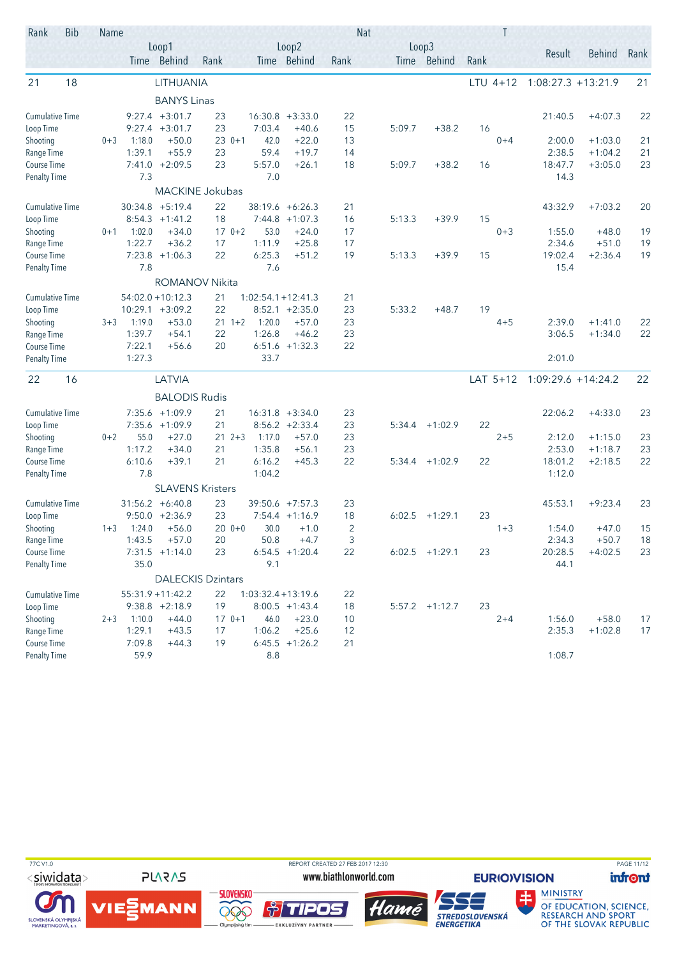| Rank                   | <b>Bib</b> | Name                     |                  |                         |                 |                     |                      |                | <b>Nat</b> |        |                  | Τ    |            |                      |           |      |
|------------------------|------------|--------------------------|------------------|-------------------------|-----------------|---------------------|----------------------|----------------|------------|--------|------------------|------|------------|----------------------|-----------|------|
|                        |            |                          |                  | Loop1<br>Time Behind    | Rank            |                     | Loop2<br>Time Behind | Rank           |            | Loop3  | Time Behind      | Rank |            | Result               | Behind    | Rank |
| 21                     | 18         |                          |                  | LITHUANIA               |                 |                     |                      |                |            |        |                  |      | $LTU$ 4+12 | $1:08:27.3 +13:21.9$ |           | 21   |
|                        |            |                          |                  | <b>BANYS Linas</b>      |                 |                     |                      |                |            |        |                  |      |            |                      |           |      |
| <b>Cumulative Time</b> |            |                          |                  | $9:27.4$ +3:01.7        | 23              |                     | $16:30.8 + 3:33.0$   | 22             |            |        |                  |      |            | 21:40.5              | $+4:07.3$ | 22   |
| Loop Time              |            |                          |                  | $9:27.4$ +3:01.7        | 23              | 7:03.4              | $+40.6$              | 15             |            | 5:09.7 | $+38.2$          | 16   |            |                      |           |      |
| Shooting               |            | $0 + 3$                  | 1:18.0           | $+50.0$                 | $230+1$         | 42.0                | $+22.0$              | 13             |            |        |                  |      | $0 + 4$    | 2:00.0               | $+1:03.0$ | 21   |
| Range Time             |            |                          | 1:39.1           | $+55.9$                 | 23              | 59.4                | $+19.7$              | 14             |            |        |                  |      |            | 2:38.5               | $+1:04.2$ | 21   |
| Course Time            |            |                          | 7:41.0           | $+2:09.5$               | 23              | 5:57.0              | $+26.1$              | 18             |            | 5:09.7 | $+38.2$          | 16   |            | 18:47.7              | $+3:05.0$ | 23   |
| <b>Penalty Time</b>    |            |                          | 7.3              |                         |                 | 7.0                 |                      |                |            |        |                  |      |            | 14.3                 |           |      |
|                        |            |                          |                  |                         | MACKINE Jokubas |                     |                      |                |            |        |                  |      |            |                      |           |      |
| <b>Cumulative Time</b> |            |                          |                  | $30:34.8$ +5:19.4       | 22              |                     | $38:19.6 + 6:26.3$   | 21             |            |        |                  |      |            | 43:32.9              | $+7:03.2$ | 20   |
| Loop Time              |            |                          | 8:54.3           | $+1:41.2$               | 18              |                     | $7:44.8$ +1:07.3     | 16             |            | 5:13.3 | $+39.9$          | 15   |            |                      |           |      |
| Shooting               |            | $0 + 1$                  | 1:02.0           | $+34.0$                 | $170+2$         | 53.0                | $+24.0$              | 17             |            |        |                  |      | $0 + 3$    | 1:55.0               | $+48.0$   | 19   |
| Range Time             |            |                          | 1:22.7           | $+36.2$                 | 17              | 1:11.9              | $+25.8$              | 17             |            |        |                  |      |            | 2:34.6               | $+51.0$   | 19   |
| Course Time            |            |                          | 7:23.8           | $+1:06.3$               | 22              | 6:25.3              | $+51.2$              | 19             |            | 5:13.3 | $+39.9$          | 15   |            | 19:02.4              | $+2:36.4$ | 19   |
| <b>Penalty Time</b>    |            |                          | 7.8              |                         |                 | 7.6                 |                      |                |            |        |                  |      |            | 15.4                 |           |      |
|                        |            |                          |                  | <b>ROMANOV Nikita</b>   |                 |                     |                      |                |            |        |                  |      |            |                      |           |      |
| <b>Cumulative Time</b> |            |                          |                  | $54:02.0 + 10:12.3$     | 21              | $1:02:54.1+12:41.3$ |                      | 21             |            |        |                  |      |            |                      |           |      |
| Loop Time              |            |                          |                  | $10:29.1 + 3:09.2$      | 22              | 8:52.1              | $+2:35.0$            | 23             |            | 5:33.2 | $+48.7$          | 19   |            |                      |           |      |
| Shooting               |            | $3 + 3$                  | 1:19.0           | $+53.0$                 | $21 \t1+2$      | 1:20.0              | $+57.0$              | 23             |            |        |                  |      | $4 + 5$    | 2:39.0               | $+1:41.0$ | 22   |
| Range Time             |            |                          | 1:39.7           | $+54.1$                 | 22              | 1:26.8              | $+46.2$              | 23             |            |        |                  |      |            | 3:06.5               | $+1:34.0$ | 22   |
| Course Time            |            |                          | 7:22.1<br>1:27.3 | $+56.6$                 | 20              |                     | $6:51.6$ +1:32.3     | 22             |            |        |                  |      |            |                      |           |      |
| <b>Penalty Time</b>    |            |                          |                  |                         |                 | 33.7                |                      |                |            |        |                  |      |            | 2:01.0               |           |      |
| 22                     | 16         |                          |                  | LATVIA                  |                 |                     |                      |                |            |        |                  |      | LAT $5+12$ | 1:09:29.6 +14:24.2   |           | 22   |
|                        |            |                          |                  | <b>BALODIS Rudis</b>    |                 |                     |                      |                |            |        |                  |      |            |                      |           |      |
| <b>Cumulative Time</b> |            |                          |                  | $7:35.6$ +1:09.9        | 21              |                     | $16:31.8 + 3:34.0$   | 23             |            |        |                  |      |            | 22:06.2              | $+4:33.0$ | 23   |
| Loop Time              |            |                          |                  | $7:35.6$ +1:09.9        | 21              |                     | $8:56.2 +2:33.4$     | 23             |            |        | $5:34.4 +1:02.9$ | 22   |            |                      |           |      |
| Shooting               |            | $0 + 2$                  | 55.0             | $+27.0$                 | $212+3$         | 1:17.0              | $+57.0$              | 23             |            |        |                  |      | $2 + 5$    | 2:12.0               | $+1:15.0$ | 23   |
| Range Time             |            |                          | 1:17.2           | $+34.0$                 | 21              | 1:35.8              | $+56.1$              | 23             |            |        |                  |      |            | 2:53.0               | $+1:18.7$ | 23   |
| Course Time            |            |                          | 6:10.6           | $+39.1$                 | 21              | 6:16.2              | $+45.3$              | 22             |            | 5:34.4 | $+1:02.9$        | 22   |            | 18:01.2              | $+2:18.5$ | 22   |
| <b>Penalty Time</b>    |            |                          | 7.8              |                         |                 | 1:04.2              |                      |                |            |        |                  |      |            | 1:12.0               |           |      |
|                        |            |                          |                  | <b>SLAVENS Kristers</b> |                 |                     |                      |                |            |        |                  |      |            |                      |           |      |
| <b>Cumulative Time</b> |            |                          |                  | $31:56.2 + 6:40.8$      | 23              |                     | $39:50.6$ +7:57.3    | 23             |            |        |                  |      |            | 45:53.1              | $+9:23.4$ | 23   |
| Loop Time              |            |                          | 9:50.0           | $+2:36.9$               | 23              |                     | $7:54.4 +1:16.9$     | 18             |            | 6:02.5 | $+1:29.1$        | 23   |            |                      |           |      |
| Shooting               |            | $1 + 3$                  | 1:24.0           | $+56.0$                 | $200 + 0$       | 30.0                | $+1.0$               | $\overline{2}$ |            |        |                  |      | $1 + 3$    | 1:54.0               | $+47.0$   | 15   |
| Range Time             |            |                          | 1:43.5           | $+57.0$                 | 20              | 50.8                | $+4.7$               | 3              |            |        |                  |      |            | 2:34.3               | $+50.7$   | 18   |
| Course Time            |            |                          |                  | $7:31.5 +1:14.0$        | 23              |                     | $6:54.5$ +1:20.4     | 22             |            |        | $6:02.5$ +1:29.1 | 23   |            | 20:28.5              | $+4:02.5$ | 23   |
| <b>Penalty Time</b>    |            |                          | 35.0             |                         |                 | 9.1                 |                      |                |            |        |                  |      |            | 44.1                 |           |      |
|                        |            | <b>DALECKIS Dzintars</b> |                  |                         |                 |                     |                      |                |            |        |                  |      |            |                      |           |      |
| <b>Cumulative Time</b> |            |                          |                  | $55:31.9 + 11:42.2$     | 22              | $1:03:32.4+13:19.6$ |                      | 22             |            |        |                  |      |            |                      |           |      |
| Loop Time              |            |                          |                  | $9:38.8 +2:18.9$        | 19              |                     | $8:00.5 +1:43.4$     | 18             |            |        | $5:57.2 +1:12.7$ | 23   |            |                      |           |      |
| Shooting               |            | $2 + 3$                  | 1:10.0           | $+44.0$                 | $170+1$         | 46.0                | $+23.0$              | 10             |            |        |                  |      | $2 + 4$    | 1:56.0               | $+58.0$   | 17   |
| Range Time             |            |                          | 1:29.1           | $+43.5$                 | 17              | 1:06.2              | $+25.6$              | 12             |            |        |                  |      |            | 2:35.3               | $+1:02.8$ | 17   |
| Course Time            |            |                          | 7:09.8           | $+44.3$                 | 19              |                     | $6:45.5$ +1:26.2     | 21             |            |        |                  |      |            |                      |           |      |
| <b>Penalty Time</b>    |            |                          | 59.9             |                         |                 | $8.8\,$             |                      |                |            |        |                  |      |            | 1:08.7               |           |      |